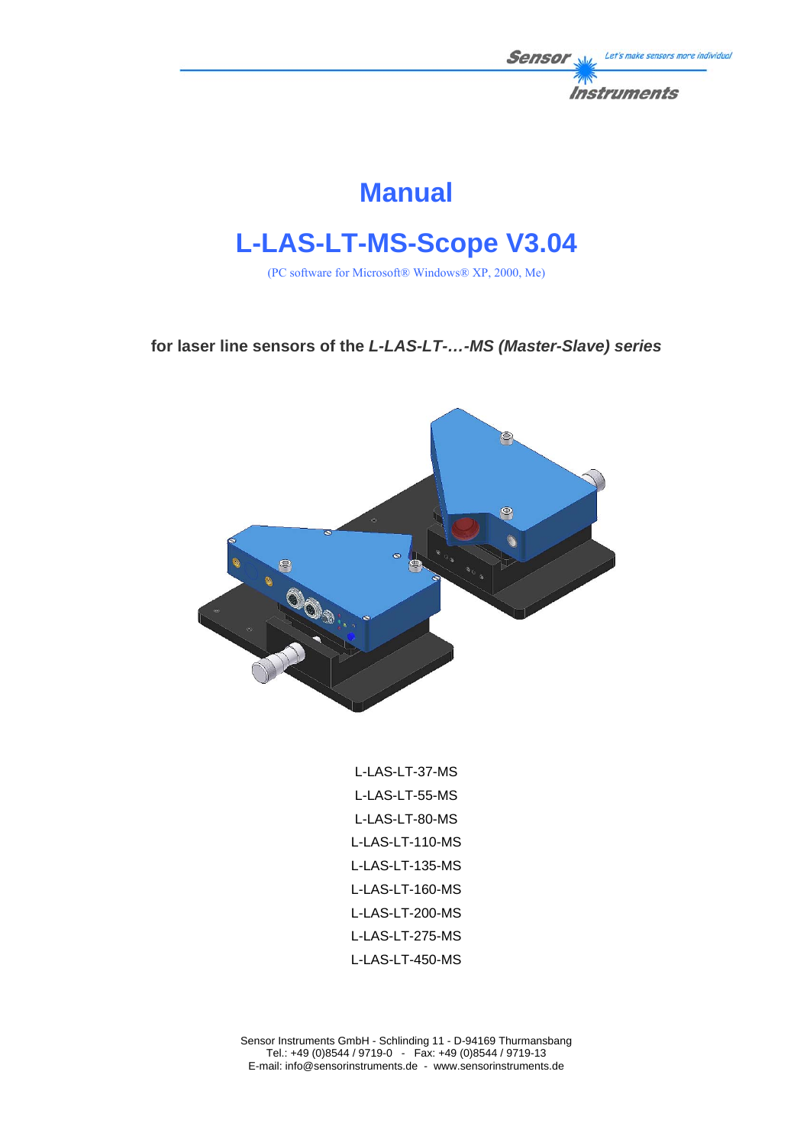

# **Manual**

# **L-LAS-LT-MS-Scope V3.04**

(PC software for Microsoft® Windows® XP, 2000, Me)

**for laser line sensors of the** *L-LAS-LT-…-MS (Master-Slave) series*



L-LAS-LT-37-MS L-LAS-LT-55-MS L-LAS-LT-80-MS L-LAS-LT-110-MS L-LAS-LT-135-MS L-LAS-LT-160-MS L-LAS-LT-200-MS L-LAS-LT-275-MS L-LAS-LT-450-MS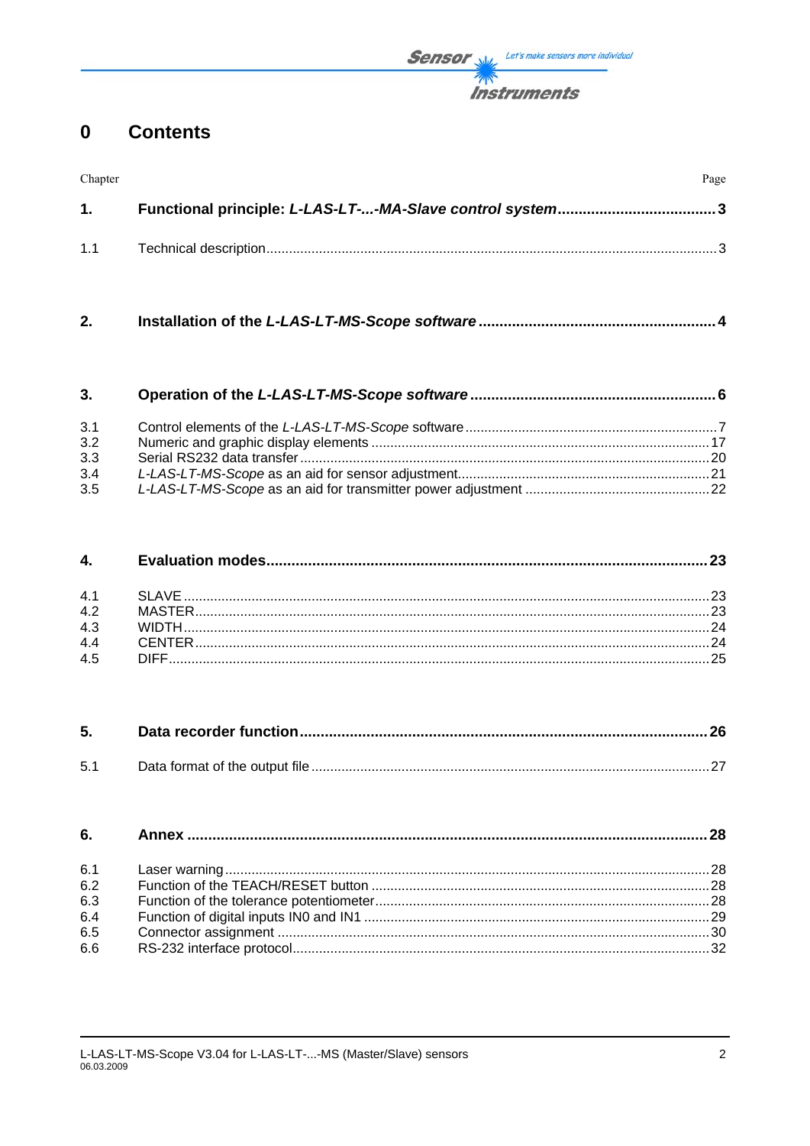**Sensor** We Let's make sensors more individual **Instruments** 

#### **Contents**  $\mathbf 0$

| Chapter | Page |
|---------|------|
| 1.      |      |
| 1.1     |      |

 $2.$ 

| 3.  |  |
|-----|--|
| 3.1 |  |
| 3.2 |  |
| 3.3 |  |
| 3.4 |  |
| 3.5 |  |

#### 4.

| 4.1 |  |
|-----|--|
| 4.2 |  |
| 4.3 |  |
| 4.4 |  |
| 4.5 |  |

| 5.1 |  |
|-----|--|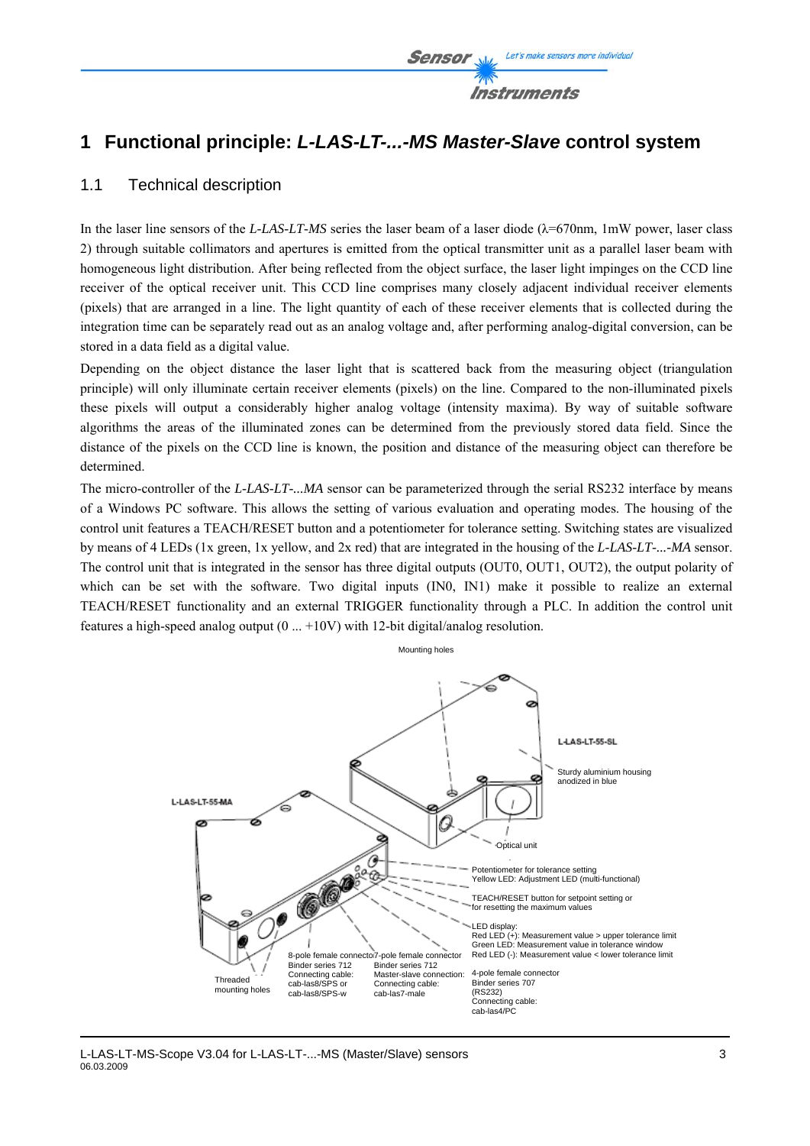

### **1 Functional principle:** *L-LAS-LT-...-MS Master-Slave* **control system**

### 1.1 Technical description

In the laser line sensors of the *L-LAS-LT-MS* series the laser beam of a laser diode  $(\lambda = 670$ nm, 1mW power, laser class 2) through suitable collimators and apertures is emitted from the optical transmitter unit as a parallel laser beam with homogeneous light distribution. After being reflected from the object surface, the laser light impinges on the CCD line receiver of the optical receiver unit. This CCD line comprises many closely adjacent individual receiver elements (pixels) that are arranged in a line. The light quantity of each of these receiver elements that is collected during the integration time can be separately read out as an analog voltage and, after performing analog-digital conversion, can be stored in a data field as a digital value.

Depending on the object distance the laser light that is scattered back from the measuring object (triangulation principle) will only illuminate certain receiver elements (pixels) on the line. Compared to the non-illuminated pixels these pixels will output a considerably higher analog voltage (intensity maxima). By way of suitable software algorithms the areas of the illuminated zones can be determined from the previously stored data field. Since the distance of the pixels on the CCD line is known, the position and distance of the measuring object can therefore be determined.

The micro-controller of the *L-LAS-LT-...MA* sensor can be parameterized through the serial RS232 interface by means of a Windows PC software. This allows the setting of various evaluation and operating modes. The housing of the control unit features a TEACH/RESET button and a potentiometer for tolerance setting. Switching states are visualized by means of 4 LEDs (1x green, 1x yellow, and 2x red) that are integrated in the housing of the *L-LAS-LT-...-MA* sensor. The control unit that is integrated in the sensor has three digital outputs (OUT0, OUT1, OUT2), the output polarity of which can be set with the software. Two digital inputs (IN0, IN1) make it possible to realize an external TEACH/RESET functionality and an external TRIGGER functionality through a PLC. In addition the control unit features a high-speed analog output (0 ... +10V) with 12-bit digital/analog resolution.

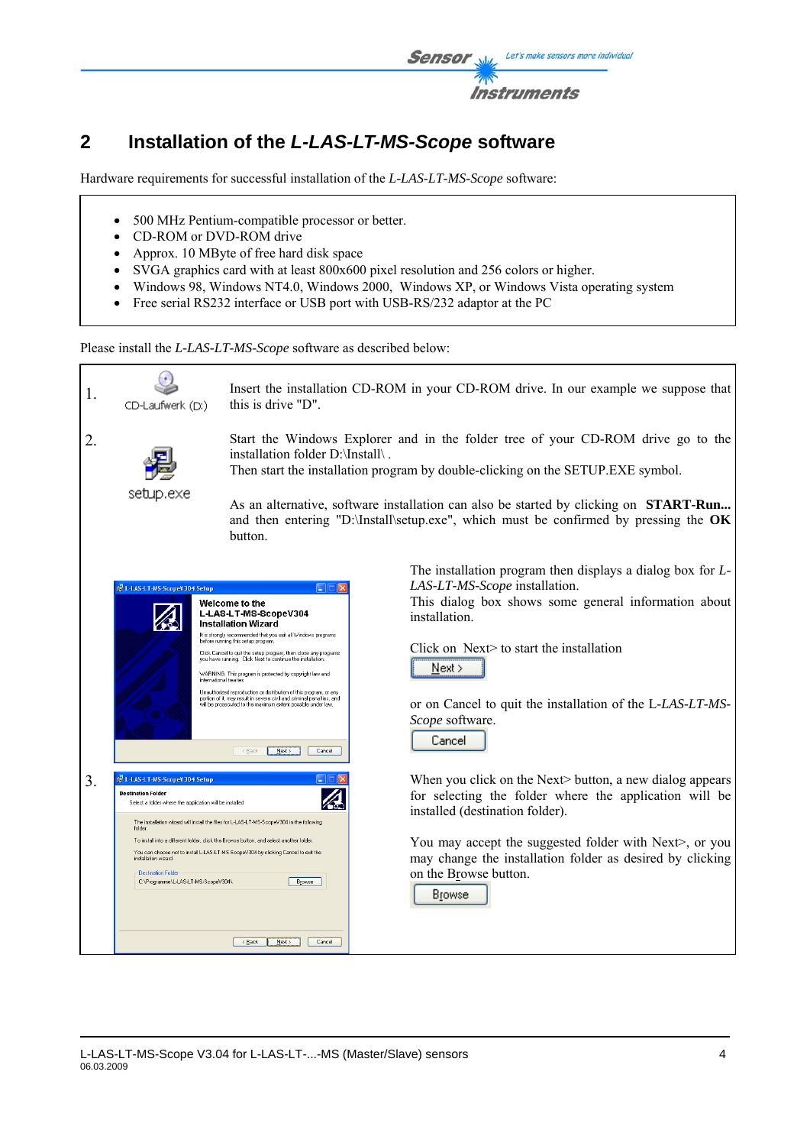

# **2 Installation of the** *L-LAS-LT-MS-Scope* **software**

Hardware requirements for successful installation of the *L-LAS-LT-MS-Scope* software:

- 500 MHz Pentium-compatible processor or better.
- CD-ROM or DVD-ROM drive
- Approx. 10 MByte of free hard disk space
- SVGA graphics card with at least 800x600 pixel resolution and 256 colors or higher.
- Windows 98, Windows NT4.0, Windows 2000, Windows XP, or Windows Vista operating system
- Free serial RS232 interface or USB port with USB-RS/232 adaptor at the PC

Please install the *L-LAS-LT-MS-Scope* software as described below:

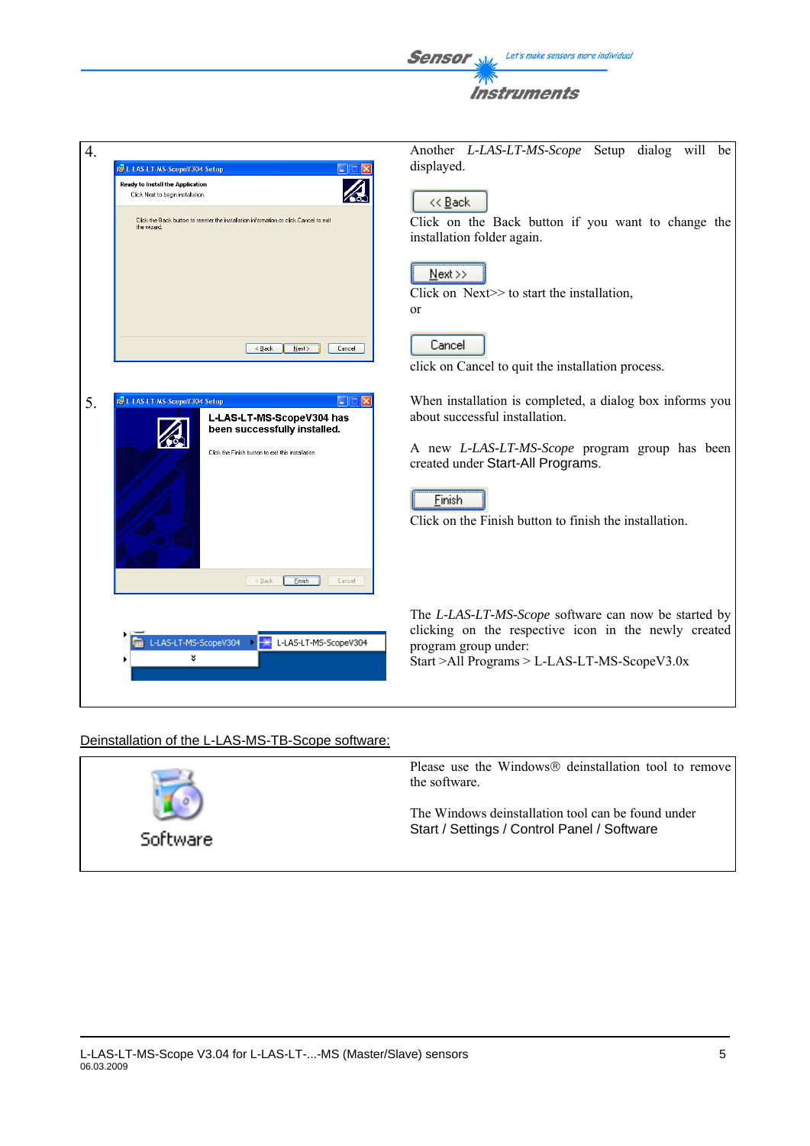Instruments 4. Another *L-LAS-LT-MS-Scope* Setup dialog will be displayed. IN L-LAS-LT-MS-ScopeV304 Setup Ready to Install the Application  $\overline{\mathcal{A}}$ Click Next to begin installation << Back Click the Back button to reenter the installation information or click Cancel to exit Click on the Back button if you want to change the installation folder again.  $N$ ext >> Click on Next $\geq$  to start the installation, or Cancel  $\begin{tabular}{|c|c|c|c|} \hline & & & \multicolumn{3}{|c|}{\multicolumn{3}{c|}{\multicolumn{3}{c|}{\multicolumn{3}{c|}{\multicolumn{3}{c|}{\multicolumn{3}{c|}{\multicolumn{3}{c|}{\multicolumn{3}{c|}{\multicolumn{3}{c|}{\multicolumn{3}{c|}{\multicolumn{3}{c|}{\multicolumn{3}{c|}{\multicolumn{3}{c|}{\multicolumn{3}{c|}{\multicolumn{3}{c|}{\multicolumn{3}{c|}{\multicolumn{3}{c|}{\multicolumn{3}{c|}{\multicolumn{3}{c|}{\multicolumn{3}{$ click on Cancel to quit the installation process. 5.  $\frac{1}{100}$  When installation is completed, a dialog box informs you about successful installation. been successfully installed. A new *L-LAS-LT-MS-Scope* program group has been Click the Finish button to exit this installation. created under Start-All Programs. Finish Click on the Finish button to finish the installation. <Back **Einish** Cancel The *L-LAS-LT-MS-Scope* software can now be started by clicking on the respective icon in the newly created L-LAS-LT-MS-ScopeV304 1-LAS-LT-MS-ScopeV304 program group under: ಀ Start >All Programs > L-LAS-LT-MS-ScopeV3.0x

Sensor

Let's make sensors more individual

### Deinstallation of the L-LAS-MS-TB-Scope software:

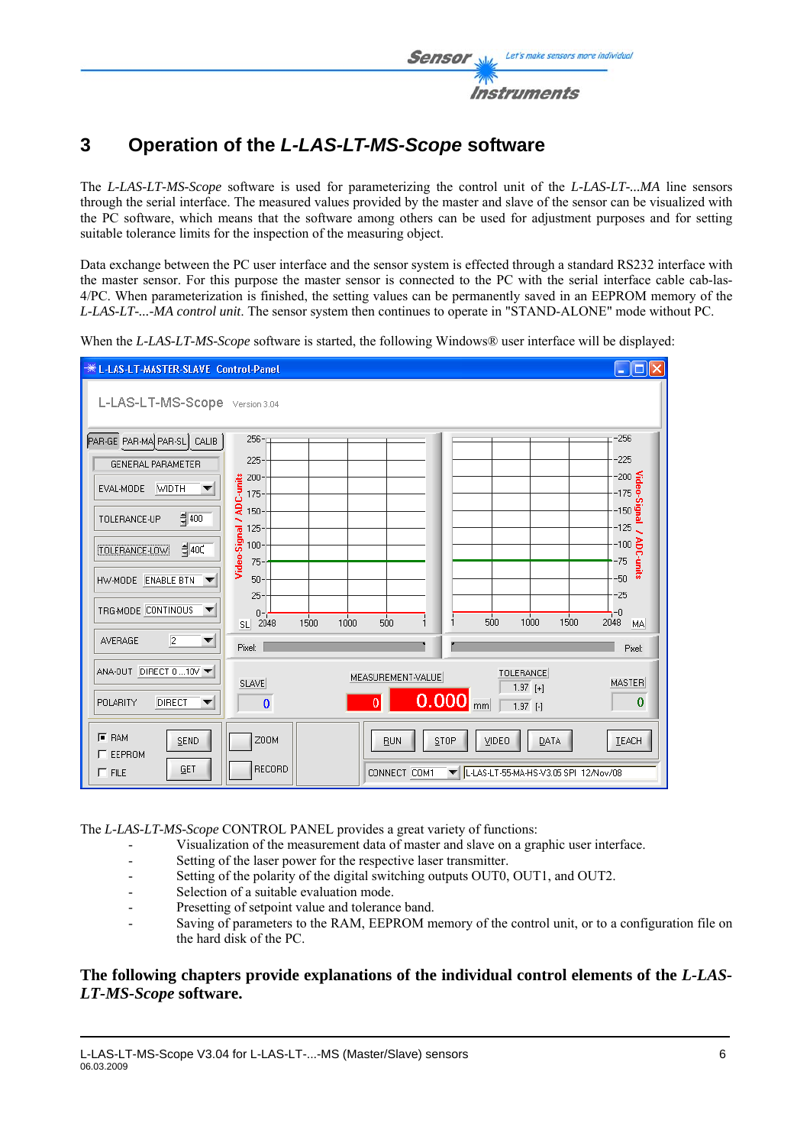

## **3 Operation of the** *L-LAS-LT-MS-Scope* **software**

The *L-LAS-LT-MS-Scope* software is used for parameterizing the control unit of the *L-LAS-LT-...MA* line sensors through the serial interface. The measured values provided by the master and slave of the sensor can be visualized with the PC software, which means that the software among others can be used for adjustment purposes and for setting suitable tolerance limits for the inspection of the measuring object.

Data exchange between the PC user interface and the sensor system is effected through a standard RS232 interface with the master sensor. For this purpose the master sensor is connected to the PC with the serial interface cable cab-las-4/PC. When parameterization is finished, the setting values can be permanently saved in an EEPROM memory of the *L-LAS-LT-...-MA control unit*. The sensor system then continues to operate in "STAND-ALONE" mode without PC.

When the *L-LAS-LT-MS-Scope* software is started, the following Windows<sup>®</sup> user interface will be displayed:



The *L-LAS-LT-MS-Scope* CONTROL PANEL provides a great variety of functions:

- Visualization of the measurement data of master and slave on a graphic user interface.
- Setting of the laser power for the respective laser transmitter.
- Setting of the polarity of the digital switching outputs OUT0, OUT1, and OUT2.
- Selection of a suitable evaluation mode.
- Presetting of setpoint value and tolerance band.
- Saving of parameters to the RAM, EEPROM memory of the control unit, or to a configuration file on the hard disk of the PC.

### **The following chapters provide explanations of the individual control elements of the** *L-LAS-LT-MS-Scope* **software.**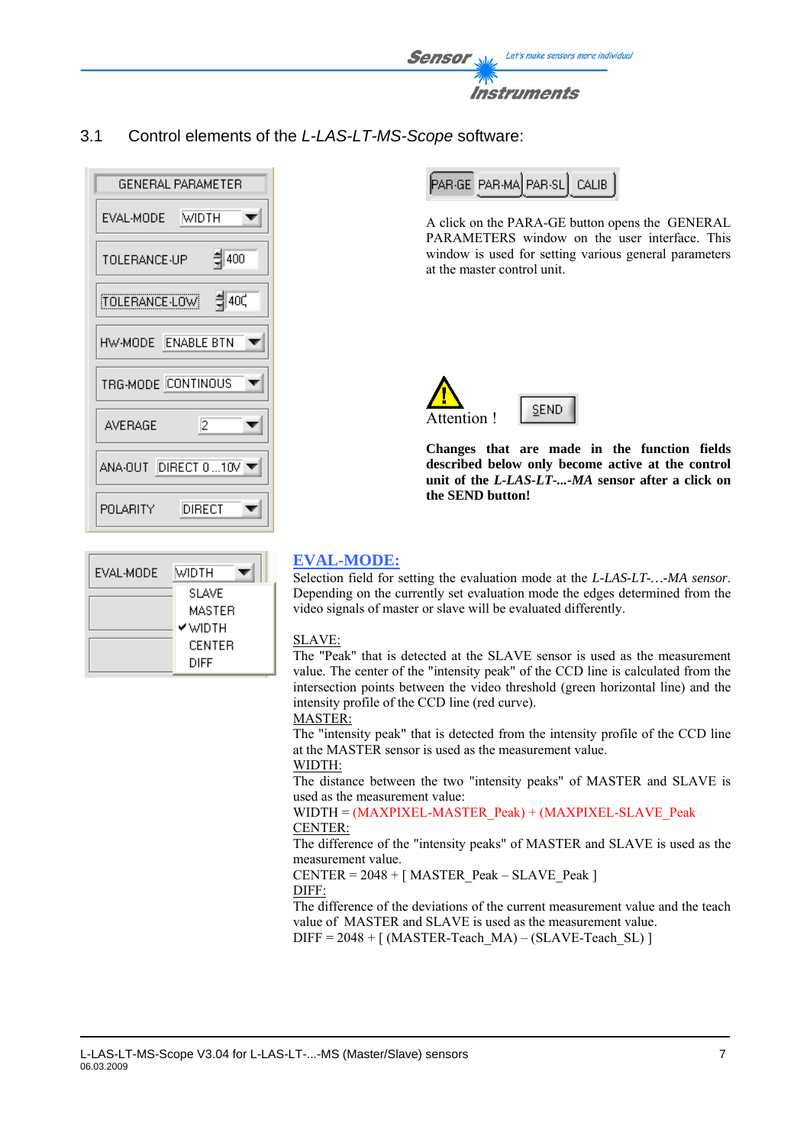

3.1 Control elements of the *L-LAS-LT-MS-Scope* software:



| EVAL-MODE | Midth        |
|-----------|--------------|
|           | <b>SLAVE</b> |
|           | MASTER       |
|           | Y WIDTH      |
|           | CENTER       |
|           | DIFF         |

PAR-GE PAR-MA PAR-SL CALIB

A click on the PARA-GE button opens the GENERAL PARAMETERS window on the user interface. This window is used for setting various general parameters at the master control unit.



**Changes that are made in the function fields described below only become active at the control unit of the** *L-LAS-LT-...-MA* **sensor after a click on the SEND button!**

### **EVAL-MODE:**

Selection field for setting the evaluation mode at the *L-LAS-LT-…-MA sensor*. Depending on the currently set evaluation mode the edges determined from the video signals of master or slave will be evaluated differently.

### SLAVE:

The "Peak" that is detected at the SLAVE sensor is used as the measurement value. The center of the "intensity peak" of the CCD line is calculated from the intersection points between the video threshold (green horizontal line) and the intensity profile of the CCD line (red curve).

#### MASTER:

The "intensity peak" that is detected from the intensity profile of the CCD line at the MASTER sensor is used as the measurement value.

### WIDTH:

The distance between the two "intensity peaks" of MASTER and SLAVE is used as the measurement value:

#### WIDTH = (MAXPIXEL-MASTER\_Peak) + (MAXPIXEL-SLAVE\_Peak CENTER:

The difference of the "intensity peaks" of MASTER and SLAVE is used as the measurement value.

 $CENTER = 2048 + [MASTER Peak - SLAVE Peak ]$ DIFF:

The difference of the deviations of the current measurement value and the teach value of MASTER and SLAVE is used as the measurement value.  $DIFF = 2048 + [ (MASTER-Teach MA) - (SLAVE-Teach SL) ]$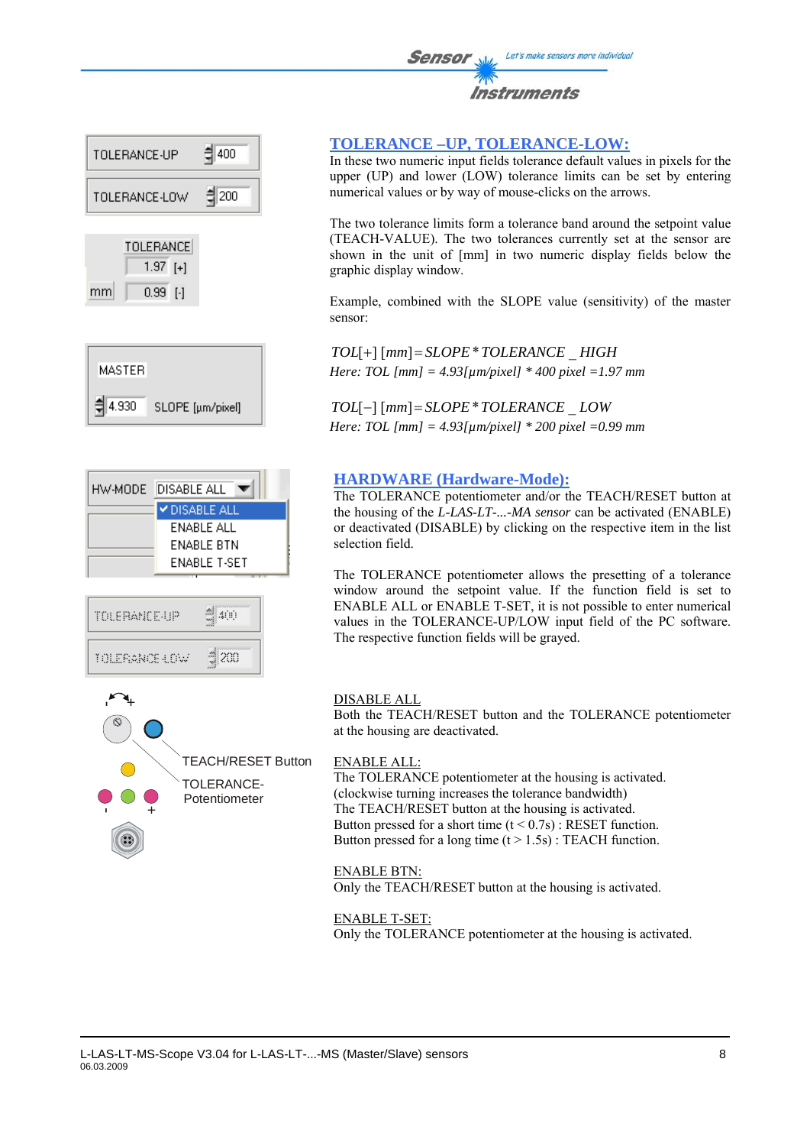



 $0.99$  [-1]

mm







### **TOLERANCE –UP, TOLERANCE-LOW:**

In these two numeric input fields tolerance default values in pixels for the upper (UP) and lower (LOW) tolerance limits can be set by entering numerical values or by way of mouse-clicks on the arrows.

The two tolerance limits form a tolerance band around the setpoint value (TEACH-VALUE). The two tolerances currently set at the sensor are shown in the unit of [mm] in two numeric display fields below the graphic display window.

Example, combined with the SLOPE value (sensitivity) of the master sensor:

*TOL*[+] [*mm*]= *SLOPE*\**TOLERANCE* \_ *HIGH Here: TOL [mm] = 4.93[µm/pixel] \* 400 pixel =1.97 mm* 

*TOL*[−] [*mm*]= *SLOPE*\**TOLERANCE* \_ *LOW Here: TOL [mm] = 4.93[µm/pixel] \* 200 pixel =0.99 mm*

### **HARDWARE (Hardware-Mode):**

The TOLERANCE potentiometer and/or the TEACH/RESET button at the housing of the *L-LAS-LT-...-MA sensor* can be activated (ENABLE) or deactivated (DISABLE) by clicking on the respective item in the list selection field.

The TOLERANCE potentiometer allows the presetting of a tolerance window around the setpoint value. If the function field is set to ENABLE ALL or ENABLE T-SET, it is not possible to enter numerical values in the TOLERANCE-UP/LOW input field of the PC software. The respective function fields will be grayed.

#### DISABLE ALL

Both the TEACH/RESET button and the TOLERANCE potentiometer at the housing are deactivated.

#### ENABLE ALL:

The TOLERANCE potentiometer at the housing is activated. (clockwise turning increases the tolerance bandwidth) The TEACH/RESET button at the housing is activated. Button pressed for a short time  $(t < 0.7s)$ : RESET function. Button pressed for a long time  $(t > 1.5s)$ : TEACH function.

#### ENABLE BTN:

Only the TEACH/RESET button at the housing is activated.

#### ENABLE T-SET:

Only the TOLERANCE potentiometer at the housing is activated.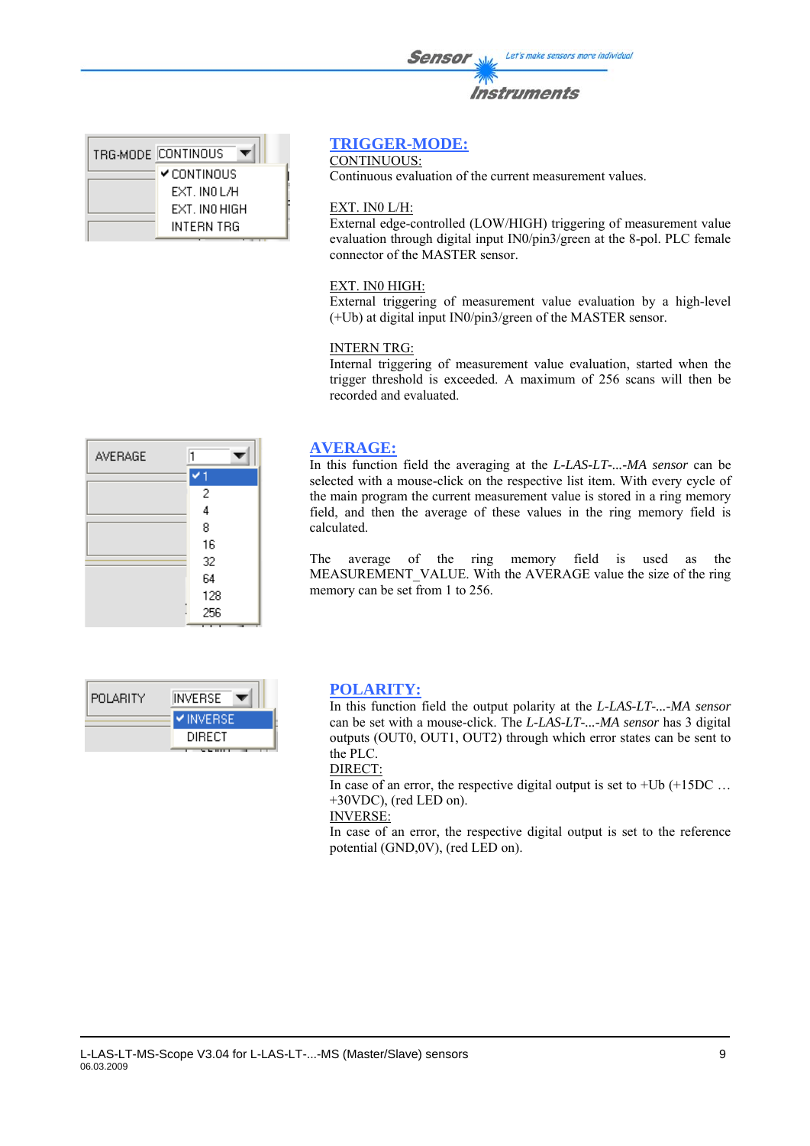| <b>Instruments</b> |
|--------------------|
|                    |

| TRG-MODE CONTINOUS |
|--------------------|
| <b>Y</b> CONTINOUS |
| ext inni /h        |
| EXT. INO HIGH      |
| INTERN TRG         |

### **TRIGGER-MODE:**

CONTINUOUS:

Continuous evaluation of the current measurement values.

#### EXT. IN0 L/H:

External edge-controlled (LOW/HIGH) triggering of measurement value evaluation through digital input IN0/pin3/green at the 8-pol. PLC female connector of the MASTER sensor.

#### EXT. IN0 HIGH:

External triggering of measurement value evaluation by a high-level (+Ub) at digital input IN0/pin3/green of the MASTER sensor.

#### INTERN TRG:

Internal triggering of measurement value evaluation, started when the trigger threshold is exceeded. A maximum of 256 scans will then be recorded and evaluated.

| AVERAGE |     |
|---------|-----|
|         |     |
|         | 2   |
|         | 4   |
|         | 8   |
|         | 16  |
|         | 32  |
|         | 64  |
|         | 128 |
|         | 256 |
|         |     |

#### **AVERAGE:**

In this function field the averaging at the *L-LAS-LT-...-MA sensor* can be selected with a mouse-click on the respective list item. With every cycle of the main program the current measurement value is stored in a ring memory field, and then the average of these values in the ring memory field is calculated.

The average of the ring memory field is used as the MEASUREMENT VALUE. With the AVERAGE value the size of the ring memory can be set from 1 to 256.

| POLARITY | INVERSE.           |
|----------|--------------------|
|          | I <b>V</b> INVERSE |
|          | DIRECT             |
|          |                    |

#### **POLARITY:**

In this function field the output polarity at the *L-LAS-LT-...-MA sensor* can be set with a mouse-click. The *L-LAS-LT-...-MA sensor* has 3 digital outputs (OUT0, OUT1, OUT2) through which error states can be sent to the PLC.

#### DIRECT:

In case of an error, the respective digital output is set to  $+Ub$  ( $+15DC$  ... +30VDC), (red LED on).

INVERSE:

In case of an error, the respective digital output is set to the reference potential (GND,0V), (red LED on).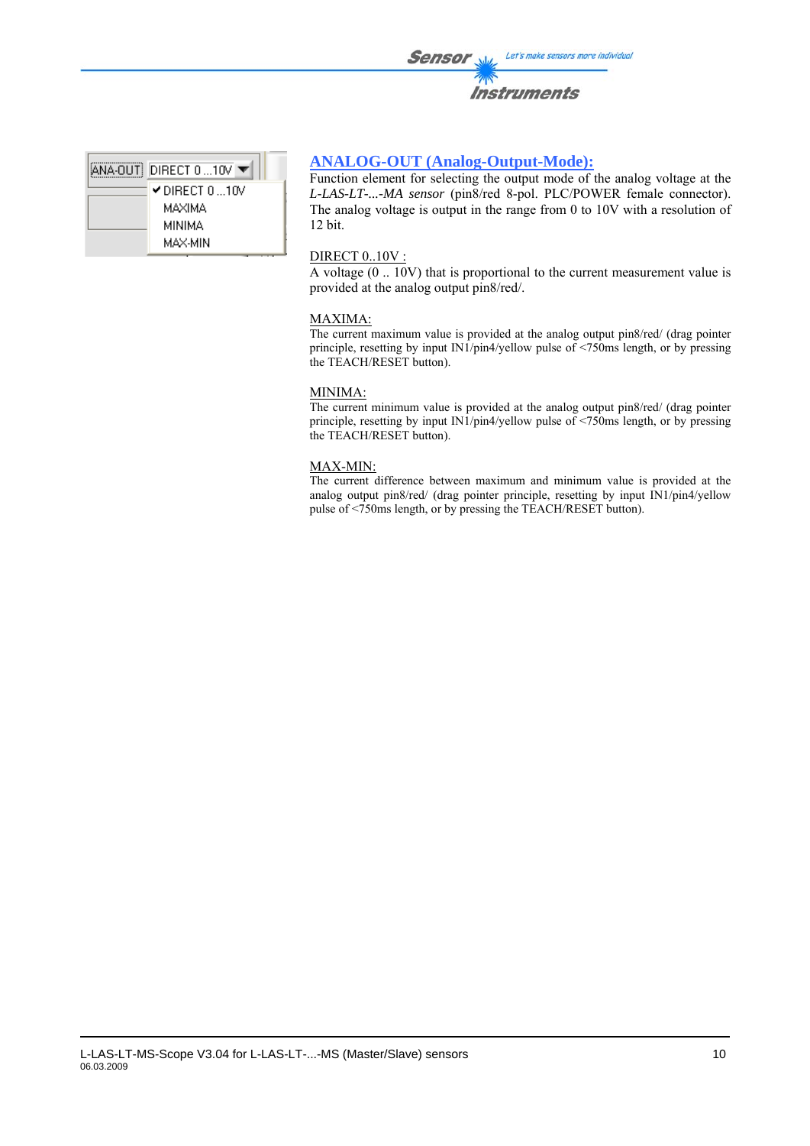| $ANA-OUT$ DIRECT 0 10V $\blacktriangledown$ |
|---------------------------------------------|
| ✔DIRECT 0…10V                               |
| MAXIMA                                      |
| MINIMA                                      |
| MAX-MIN                                     |
|                                             |

### **ANALOG-OUT (Analog-Output-Mode):**

Function element for selecting the output mode of the analog voltage at the *L-LAS-LT-...-MA sensor* (pin8/red 8-pol. PLC/POWER female connector). The analog voltage is output in the range from 0 to 10V with a resolution of 12 bit.

#### DIRECT 0..10V :

A voltage (0 .. 10V) that is proportional to the current measurement value is provided at the analog output pin8/red/.

#### MAXIMA:

The current maximum value is provided at the analog output pin8/red/ (drag pointer principle, resetting by input IN1/pin4/yellow pulse of <750ms length, or by pressing the TEACH/RESET button).

#### MINIMA:

The current minimum value is provided at the analog output pin8/red/ (drag pointer principle, resetting by input IN1/pin4/yellow pulse of <750ms length, or by pressing the TEACH/RESET button).

#### MAX-MIN:

The current difference between maximum and minimum value is provided at the analog output pin8/red/ (drag pointer principle, resetting by input IN1/pin4/yellow pulse of <750ms length, or by pressing the TEACH/RESET button).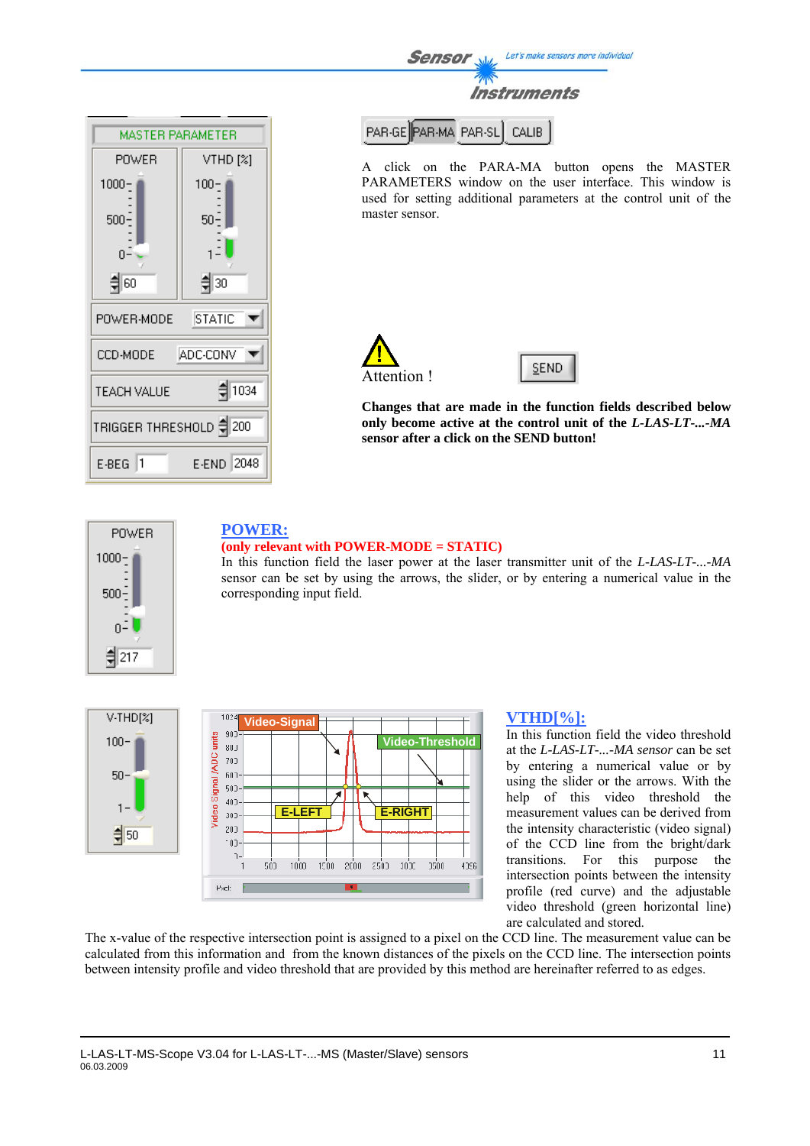**MASTER PARAMETER** POWER VTHD<sub>[%]</sub>  $1000 100 500 50 \Omega$ (이루 취30 POWER-MODE **STATIC** ADC-CONV CCD-MODE ▼ ≑ 1034 **TEACH VALUE** TRIGGER THRESHOLD = 200  $E-BEG$  1 E-END 2048

Let's make sensors more individual Sensor Instruments

PAR-GE PAR-MA PAR-SL CALIB

A click on the PARA-MA button opens the MASTER PARAMETERS window on the user interface. This window is used for setting additional parameters at the control unit of the master sensor.



**SEND** 

**Changes that are made in the function fields described below only become active at the control unit of the** *L-LAS-LT-...-MA*  **sensor after a click on the SEND button!**



# **POWER: (only relevant with POWER-MODE = STATIC)**

In this function field the laser power at the laser transmitter unit of the *L-LAS-LT-...-MA* sensor can be set by using the arrows, the slider, or by entering a numerical value in the corresponding input field.





#### **VTHD[%]:**

In this function field the video threshold at the *L-LAS-LT-...-MA sensor* can be set by entering a numerical value or by using the slider or the arrows. With the help of this video threshold the measurement values can be derived from the intensity characteristic (video signal) of the CCD line from the bright/dark transitions. For this purpose the intersection points between the intensity profile (red curve) and the adjustable video threshold (green horizontal line) are calculated and stored.

The x-value of the respective intersection point is assigned to a pixel on the CCD line. The measurement value can be calculated from this information and from the known distances of the pixels on the CCD line. The intersection points between intensity profile and video threshold that are provided by this method are hereinafter referred to as edges.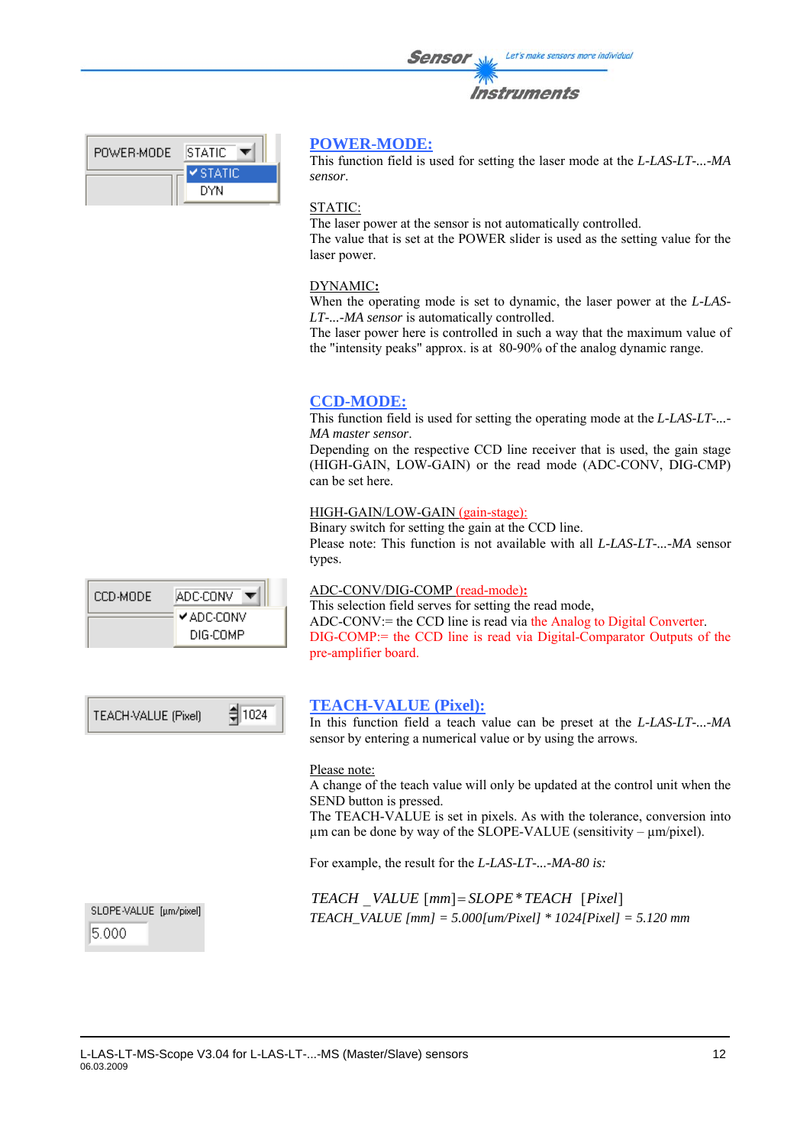| <b>Sensor</b> | Let's make sensors more individual |
|---------------|------------------------------------|
|               | <b>Instruments</b>                 |

| ISTATIC         |
|-----------------|
| <b>⊻</b> STATIC |
| DYN             |
|                 |

### **POWER-MODE:**

This function field is used for setting the laser mode at the *L-LAS-LT-...-MA sensor*.

#### STATIC:

The laser power at the sensor is not automatically controlled. The value that is set at the POWER slider is used as the setting value for the laser power.

#### DYNAMIC**:**

When the operating mode is set to dynamic, the laser power at the *L-LAS-LT-...-MA sensor* is automatically controlled.

The laser power here is controlled in such a way that the maximum value of the "intensity peaks" approx. is at 80-90% of the analog dynamic range.

#### **CCD-MODE:**

This function field is used for setting the operating mode at the *L-LAS-LT-...- MA master sensor*.

Depending on the respective CCD line receiver that is used, the gain stage (HIGH-GAIN, LOW-GAIN) or the read mode (ADC-CONV, DIG-CMP) can be set here.

#### HIGH-GAIN/LOW-GAIN (gain-stage):

Binary switch for setting the gain at the CCD line. Please note: This function is not available with all *L-LAS-LT-...-MA* sensor types.

### CCD-MODE ADC-CONV ✔ ADC-CONV DIG-COMP

#### ADC-CONV/DIG-COMP (read-mode)**:**

This selection field serves for setting the read mode, ADC-CONV:= the CCD line is read via the Analog to Digital Converter. DIG-COMP:= the CCD line is read via Digital-Comparator Outputs of the pre-amplifier board.

| TEACH-VALUE (Pixel) | $\frac{4}{3}$ 1024 |
|---------------------|--------------------|
|---------------------|--------------------|

### **TEACH-VALUE (Pixel):**

In this function field a teach value can be preset at the *L-LAS-LT-...-MA* sensor by entering a numerical value or by using the arrows.

#### Please note:

A change of the teach value will only be updated at the control unit when the SEND button is pressed.

The TEACH-VALUE is set in pixels. As with the tolerance, conversion into  $\mu$ m can be done by way of the SLOPE-VALUE (sensitivity –  $\mu$ m/pixel).

For example, the result for the *L-LAS-LT-...-MA-80 is:* 

*TEACH* \_*VALUE* [*mm*]= *SLOPE*\**TEACH* [*Pixel*] *TEACH\_VALUE [mm] = 5.000[um/Pixel] \* 1024[Pixel] = 5.120 mm*

SLOPE-VALUE [µm/pixel] 5.000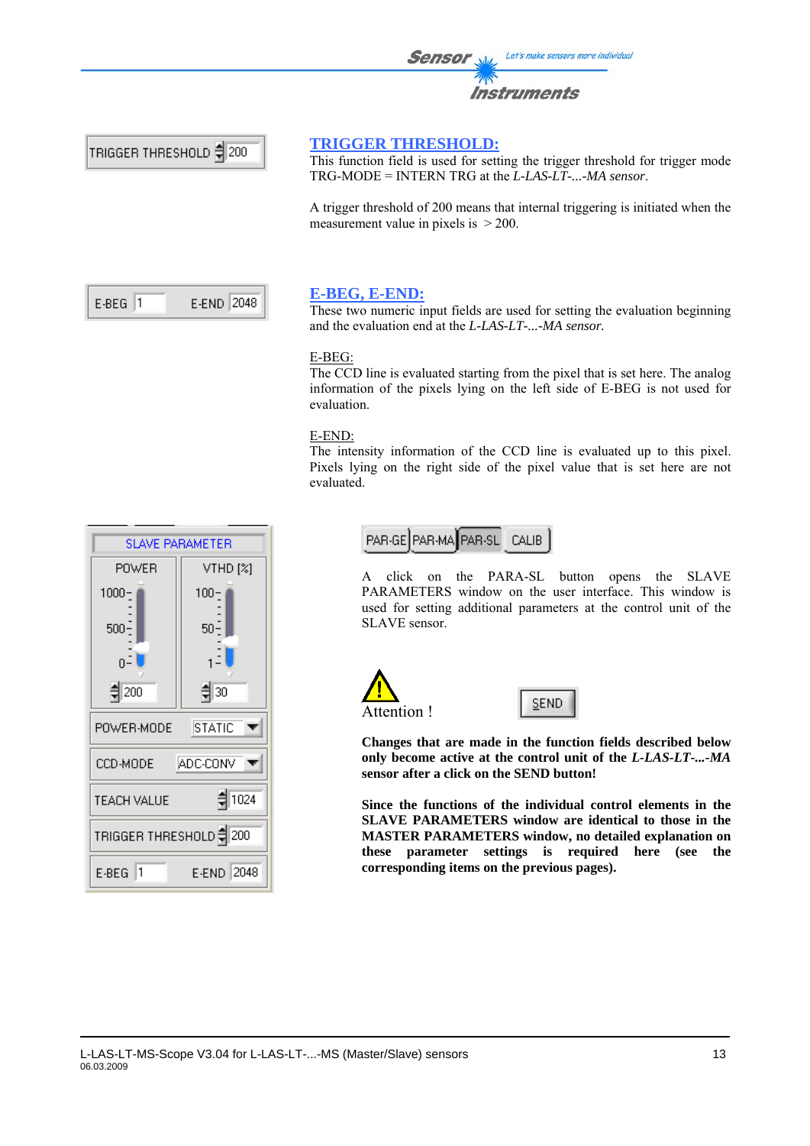

#### **TRIGGER THRESHOLD:**

This function field is used for setting the trigger threshold for trigger mode TRG-MODE = INTERN TRG at the *L-LAS-LT-...-MA sensor*.

A trigger threshold of 200 means that internal triggering is initiated when the measurement value in pixels is  $>$  200.

| F-REG 11 | E-END 2048 |
|----------|------------|
|----------|------------|

### **E-BEG, E-END:**

These two numeric input fields are used for setting the evaluation beginning and the evaluation end at the *L-LAS-LT-...-MA sensor.* 

#### E-BEG:

The CCD line is evaluated starting from the pixel that is set here. The analog information of the pixels lying on the left side of E-BEG is not used for evaluation.

#### E-END:

The intensity information of the CCD line is evaluated up to this pixel. Pixels lying on the right side of the pixel value that is set here are not evaluated.

> PAR-GE PAR-MA PAR-SL CALIB

A click on the PARA-SL button opens the SLAVE PARAMETERS window on the user interface. This window is used for setting additional parameters at the control unit of the SLAVE sensor.





**Changes that are made in the function fields described below only become active at the control unit of the** *L-LAS-LT-...-MA*  **sensor after a click on the SEND button!** 

**Since the functions of the individual control elements in the SLAVE PARAMETERS window are identical to those in the MASTER PARAMETERS window, no detailed explanation on these parameter settings is required here (see the corresponding items on the previous pages).**

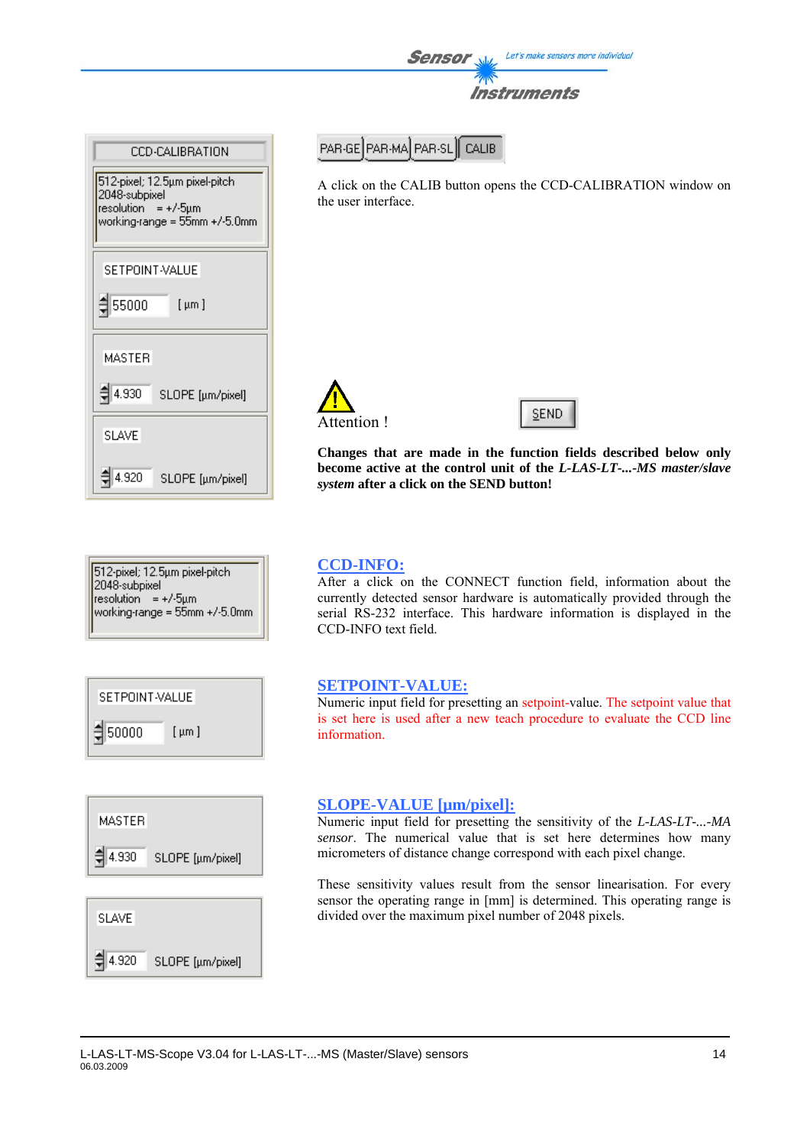



Sensor

A click on the CALIB button opens the CCD-CALIBRATION window on the user interface.

Instruments

Let's make sensors more individual





**Changes that are made in the function fields described below only become active at the control unit of the** *L-LAS-LT-...-MS master/slave system* **after a click on the SEND button!**





### **MASTER**





### **CCD-INFO:**

After a click on the CONNECT function field, information about the currently detected sensor hardware is automatically provided through the serial RS-232 interface. This hardware information is displayed in the CCD-INFO text field.

#### **SETPOINT-VALUE:**

Numeric input field for presetting an setpoint-value. The setpoint value that is set here is used after a new teach procedure to evaluate the CCD line information.

#### **SLOPE-VALUE [µm/pixel]:**

Numeric input field for presetting the sensitivity of the *L-LAS-LT-...-MA sensor*. The numerical value that is set here determines how many micrometers of distance change correspond with each pixel change.

These sensitivity values result from the sensor linearisation. For every sensor the operating range in [mm] is determined. This operating range is divided over the maximum pixel number of 2048 pixels.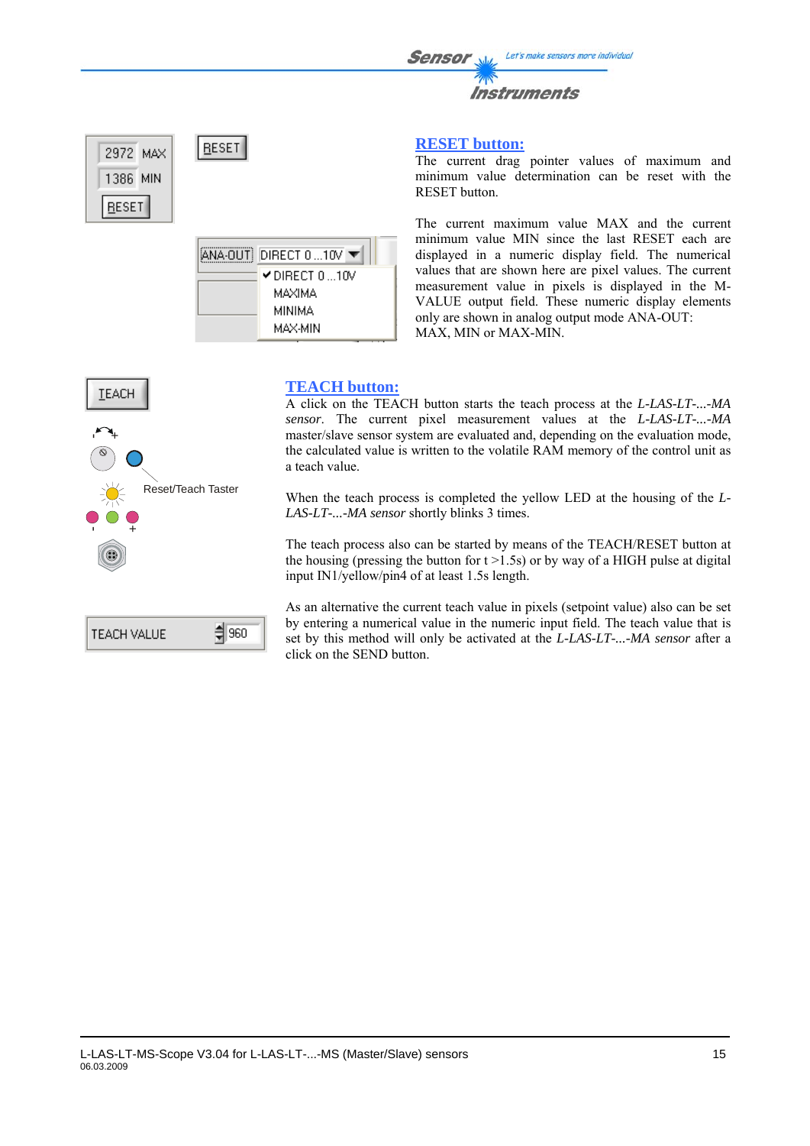#### **RESET button:**

The current drag pointer values of maximum and minimum value determination can be reset with the RESET button.

The current maximum value MAX and the current minimum value MIN since the last RESET each are displayed in a numeric display field. The numerical values that are shown here are pixel values. The current measurement value in pixels is displayed in the M-VALUE output field. These numeric display elements only are shown in analog output mode ANA-OUT: MAX, MIN or MAX-MIN.

**TEACH** +-Reset/Teach Taster +-

**RESET** 

ANA-OUT DIRECT 0 ... 10V

 $\times$  DIRECT 0 ...10V MAXIMA **MINIMA** MAX-MIN

2972 MAX 1386 MIN

**RESET** 

| - ARIE<br>I TEACH VALUE |
|-------------------------|
|-------------------------|

### **TEACH button:**

A click on the TEACH button starts the teach process at the *L-LAS-LT-...-MA sensor*. The current pixel measurement values at the *L-LAS-LT-...-MA* master/slave sensor system are evaluated and, depending on the evaluation mode, the calculated value is written to the volatile RAM memory of the control unit as a teach value.

When the teach process is completed the yellow LED at the housing of the *L-LAS-LT-...-MA sensor* shortly blinks 3 times.

The teach process also can be started by means of the TEACH/RESET button at the housing (pressing the button for  $t > 1.5s$ ) or by way of a HIGH pulse at digital input IN1/yellow/pin4 of at least 1.5s length.

As an alternative the current teach value in pixels (setpoint value) also can be set by entering a numerical value in the numeric input field. The teach value that is set by this method will only be activated at the *L-LAS-LT-...-MA sensor* after a click on the SEND button.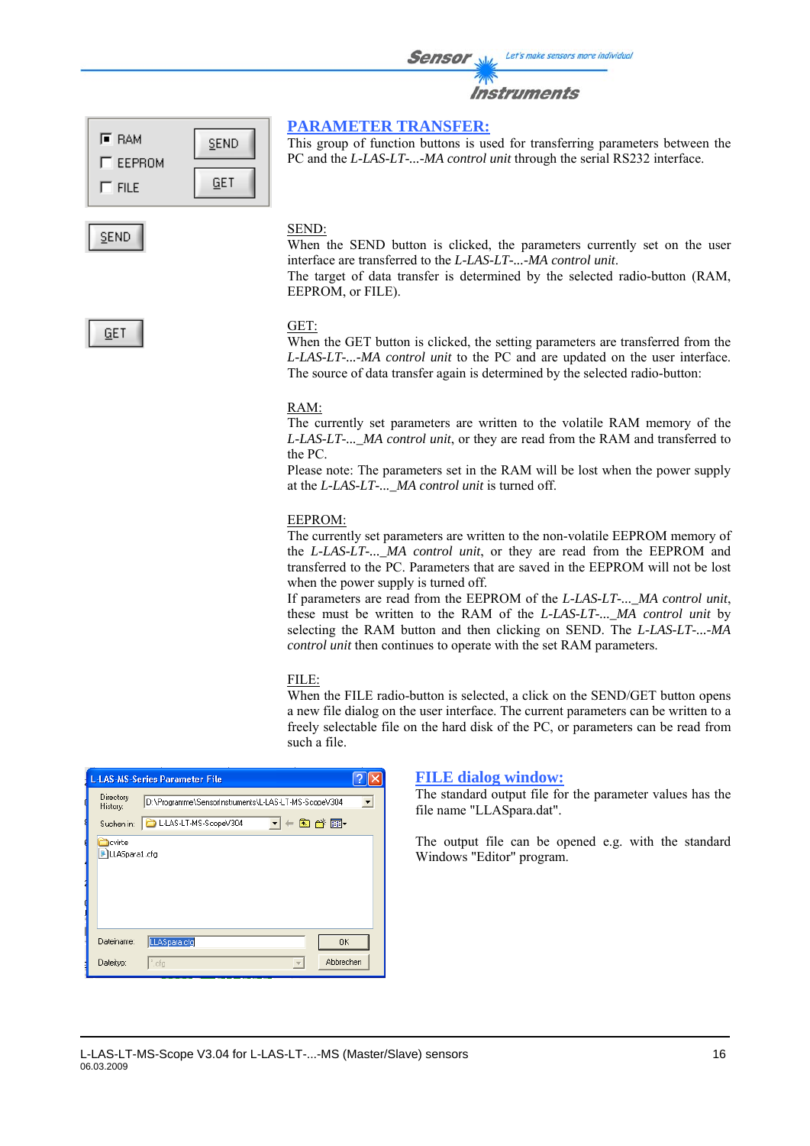|                 |             | <b>Sensor</b><br>Let's make sensors more individual<br><b>Instruments</b>                                                                                                                |
|-----------------|-------------|------------------------------------------------------------------------------------------------------------------------------------------------------------------------------------------|
| F RAM<br>EEPROM | <b>SEND</b> | <b>PARAMETER TRANSFER:</b><br>This group of function buttons is used for transferring parameters between the<br>PC and the L-LAS-LT--MA control unit through the serial RS232 interface. |

#### SEND:

**GET** 

When the SEND button is clicked, the parameters currently set on the user interface are transferred to the *L-LAS-LT-...-MA control unit*.

The target of data transfer is determined by the selected radio-button (RAM, EEPROM, or FILE).

### **GET**

 $\Gamma$  FILE

**SEND** 

#### GET:

When the GET button is clicked, the setting parameters are transferred from the *L-LAS-LT-...-MA control unit* to the PC and are updated on the user interface. The source of data transfer again is determined by the selected radio-button:

#### RAM:

The currently set parameters are written to the volatile RAM memory of the *L-LAS-LT-...\_MA control unit*, or they are read from the RAM and transferred to the PC.

Please note: The parameters set in the RAM will be lost when the power supply at the *L-LAS-LT-...\_MA control unit* is turned off.

#### EEPROM:

The currently set parameters are written to the non-volatile EEPROM memory of the *L-LAS-LT-...\_MA control unit*, or they are read from the EEPROM and transferred to the PC. Parameters that are saved in the EEPROM will not be lost when the power supply is turned off.

If parameters are read from the EEPROM of the *L-LAS-LT-...\_MA control unit*, these must be written to the RAM of the *L-LAS-LT-...\_MA control unit* by selecting the RAM button and then clicking on SEND. The *L-LAS-LT-...-MA control unit* then continues to operate with the set RAM parameters.

#### FILE:

When the FILE radio-button is selected, a click on the SEND/GET button opens a new file dialog on the user interface. The current parameters can be written to a freely selectable file on the hard disk of the PC, or parameters can be read from such a file.

|                                    | <b>L-LAS-MS-Series Parameter File</b>                |  |
|------------------------------------|------------------------------------------------------|--|
| Directory<br>History:              | D:\Programme\SensorInstruments\L-LAS-LT-MS-ScopeV304 |  |
| Suchen in:                         | ←自び丽・<br>L-LAS-LT-MS-ScopeV304                       |  |
| <b>l</b> cvirte<br>F LLASpara1.cfg |                                                      |  |
| Dateiname:                         | LLASpara.cfg<br>0K                                   |  |
| Dateityp:                          | Abbrechen<br>".cfg<br>$\sim$                         |  |

#### **FILE dialog window:**

The standard output file for the parameter values has the file name "LLASpara.dat".

The output file can be opened e.g. with the standard Windows "Editor" program.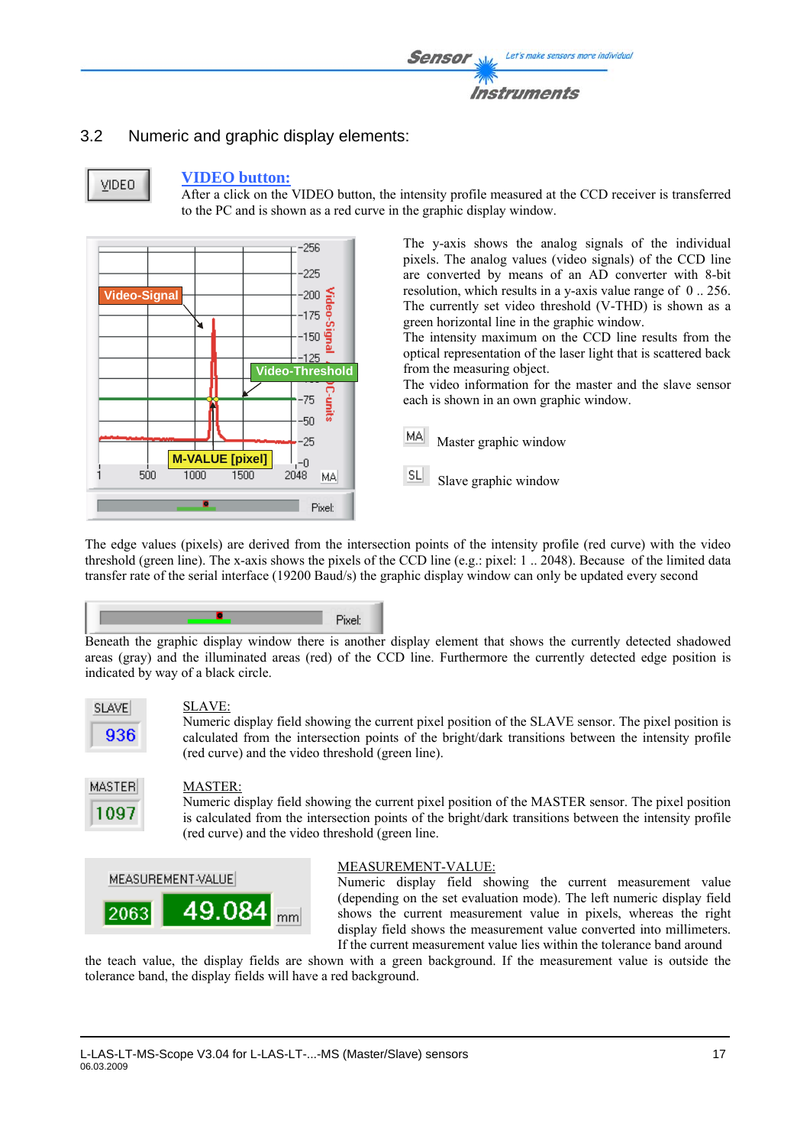

### 3.2 Numeric and graphic display elements:



#### **VIDEO button:**

After a click on the VIDEO button, the intensity profile measured at the CCD receiver is transferred to the PC and is shown as a red curve in the graphic display window.



The y-axis shows the analog signals of the individual pixels. The analog values (video signals) of the CCD line are converted by means of an AD converter with 8-bit resolution, which results in a y-axis value range of 0 .. 256. The currently set video threshold (V-THD) is shown as a green horizontal line in the graphic window.

The intensity maximum on the CCD line results from the optical representation of the laser light that is scattered back from the measuring object.

The video information for the master and the slave sensor each is shown in an own graphic window.

MAI Master graphic window

SL Slave graphic window

The edge values (pixels) are derived from the intersection points of the intensity profile (red curve) with the video threshold (green line). The x-axis shows the pixels of the CCD line (e.g.: pixel: 1 .. 2048). Because of the limited data transfer rate of the serial interface (19200 Baud/s) the graphic display window can only be updated every second



Beneath the graphic display window there is another display element that shows the currently detected shadowed areas (gray) and the illuminated areas (red) of the CCD line. Furthermore the currently detected edge position is indicated by way of a black circle.



#### SLAVE:

Numeric display field showing the current pixel position of the SLAVE sensor. The pixel position is calculated from the intersection points of the bright/dark transitions between the intensity profile (red curve) and the video threshold (green line).

#### MASTER:

Numeric display field showing the current pixel position of the MASTER sensor. The pixel position is calculated from the intersection points of the bright/dark transitions between the intensity profile (red curve) and the video threshold (green line.



#### MEASUREMENT-VALUE:

Numeric display field showing the current measurement value (depending on the set evaluation mode). The left numeric display field shows the current measurement value in pixels, whereas the right display field shows the measurement value converted into millimeters. If the current measurement value lies within the tolerance band around

the teach value, the display fields are shown with a green background. If the measurement value is outside the tolerance band, the display fields will have a red background.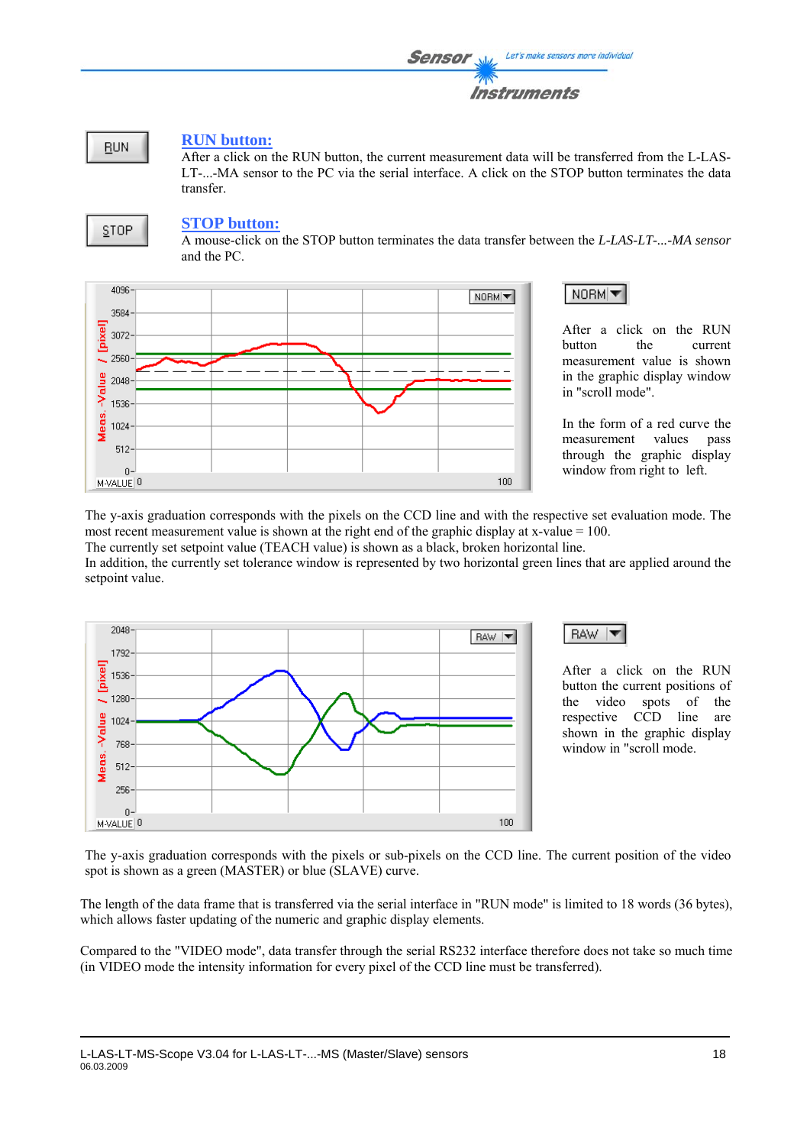

### **RUN button:**

After a click on the RUN button, the current measurement data will be transferred from the L-LAS-LT-...-MA sensor to the PC via the serial interface. A click on the STOP button terminates the data transfer.



### **STOP button:**

A mouse-click on the STOP button terminates the data transfer between the *L-LAS-LT-...-MA sensor* and the PC.



After a click on the RUN button the current measurement value is shown in the graphic display window in "scroll mode".

NORM<sup>I</sup>

In the form of a red curve the measurement values pass through the graphic display window from right to left.

The y-axis graduation corresponds with the pixels on the CCD line and with the respective set evaluation mode. The most recent measurement value is shown at the right end of the graphic display at x-value = 100.

The currently set setpoint value (TEACH value) is shown as a black, broken horizontal line. In addition, the currently set tolerance window is represented by two horizontal green lines that are applied around the setpoint value.





After a click on the RUN button the current positions of the video spots of the respective CCD line are shown in the graphic display window in "scroll mode.

The y-axis graduation corresponds with the pixels or sub-pixels on the CCD line. The current position of the video spot is shown as a green (MASTER) or blue (SLAVE) curve.

The length of the data frame that is transferred via the serial interface in "RUN mode" is limited to 18 words (36 bytes), which allows faster updating of the numeric and graphic display elements.

Compared to the "VIDEO mode", data transfer through the serial RS232 interface therefore does not take so much time (in VIDEO mode the intensity information for every pixel of the CCD line must be transferred).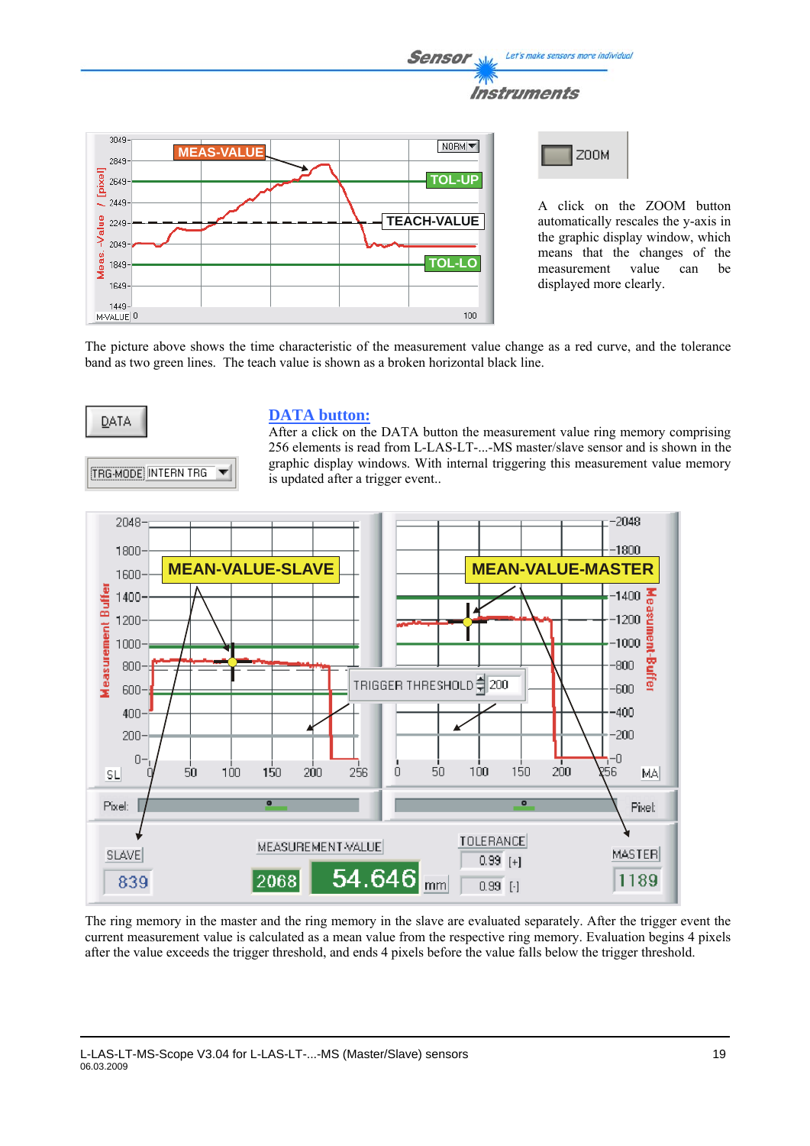

The picture above shows the time characteristic of the measurement value change as a red curve, and the tolerance band as two green lines. The teach value is shown as a broken horizontal black line.



**TRG-MODE INTERN TRG** 

#### **DATA button:**

After a click on the DATA button the measurement value ring memory comprising 256 elements is read from L-LAS-LT-...-MS master/slave sensor and is shown in the graphic display windows. With internal triggering this measurement value memory is updated after a trigger event..



The ring memory in the master and the ring memory in the slave are evaluated separately. After the trigger event the current measurement value is calculated as a mean value from the respective ring memory. Evaluation begins 4 pixels after the value exceeds the trigger threshold, and ends 4 pixels before the value falls below the trigger threshold.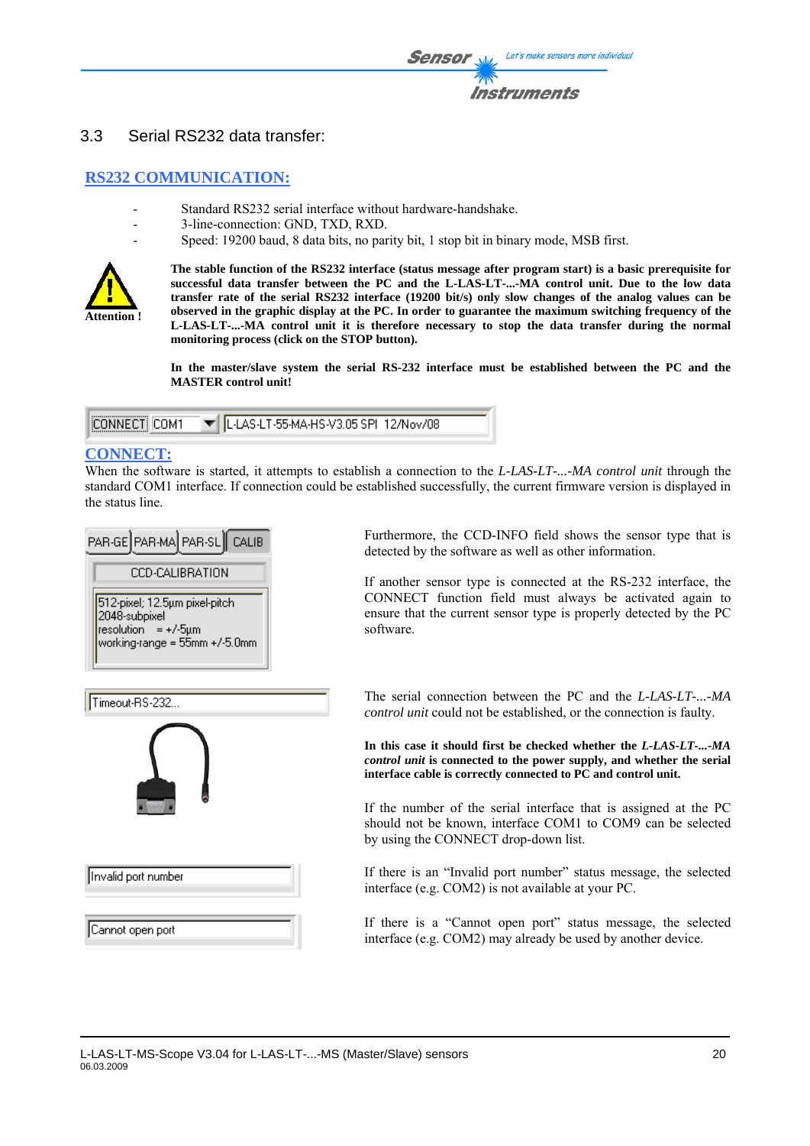

### 3.3 Serial RS232 data transfer:

### **RS232 COMMUNICATION:**

- Standard RS232 serial interface without hardware-handshake.
- 3-line-connection: GND, TXD, RXD.
- Speed: 19200 baud, 8 data bits, no parity bit, 1 stop bit in binary mode, MSB first.



**The stable function of the RS232 interface (status message after program start) is a basic prerequisite for successful data transfer between the PC and the L-LAS-LT-...-MA control unit. Due to the low data transfer rate of the serial RS232 interface (19200 bit/s) only slow changes of the analog values can be observed in the graphic display at the PC. In order to guarantee the maximum switching frequency of the L-LAS-LT-...-MA control unit it is therefore necessary to stop the data transfer during the normal monitoring process (click on the STOP button).** 

**In the master/slave system the serial RS-232 interface must be established between the PC and the MASTER control unit!** 

|                | THE L-LAS-LT-55-MA-HS-V3.05 SPI 12/Nov/08 |  |
|----------------|-------------------------------------------|--|
| 1EONNECTI COM1 |                                           |  |
|                |                                           |  |
|                |                                           |  |

### **CONNECT:**

When the software is started, it attempts to establish a connection to the *L-LAS-LT-...-MA control unit* through the standard COM1 interface. If connection could be established successfully, the current firmware version is displayed in the status line.



Furthermore, the CCD-INFO field shows the sensor type that is detected by the software as well as other information.

If another sensor type is connected at the RS-232 interface, the CONNECT function field must always be activated again to ensure that the current sensor type is properly detected by the PC software.

The serial connection between the PC and the *L-LAS-LT-...-MA control unit* could not be established, or the connection is faulty.

**In this case it should first be checked whether the** *L-LAS-LT-...-MA control unit* **is connected to the power supply, and whether the serial interface cable is correctly connected to PC and control unit.** 

If the number of the serial interface that is assigned at the PC should not be known, interface COM1 to COM9 can be selected by using the CONNECT drop-down list.

If there is an "Invalid port number" status message, the selected interface (e.g. COM2) is not available at your PC.

If there is a "Cannot open port" status message, the selected interface (e.g. COM2) may already be used by another device.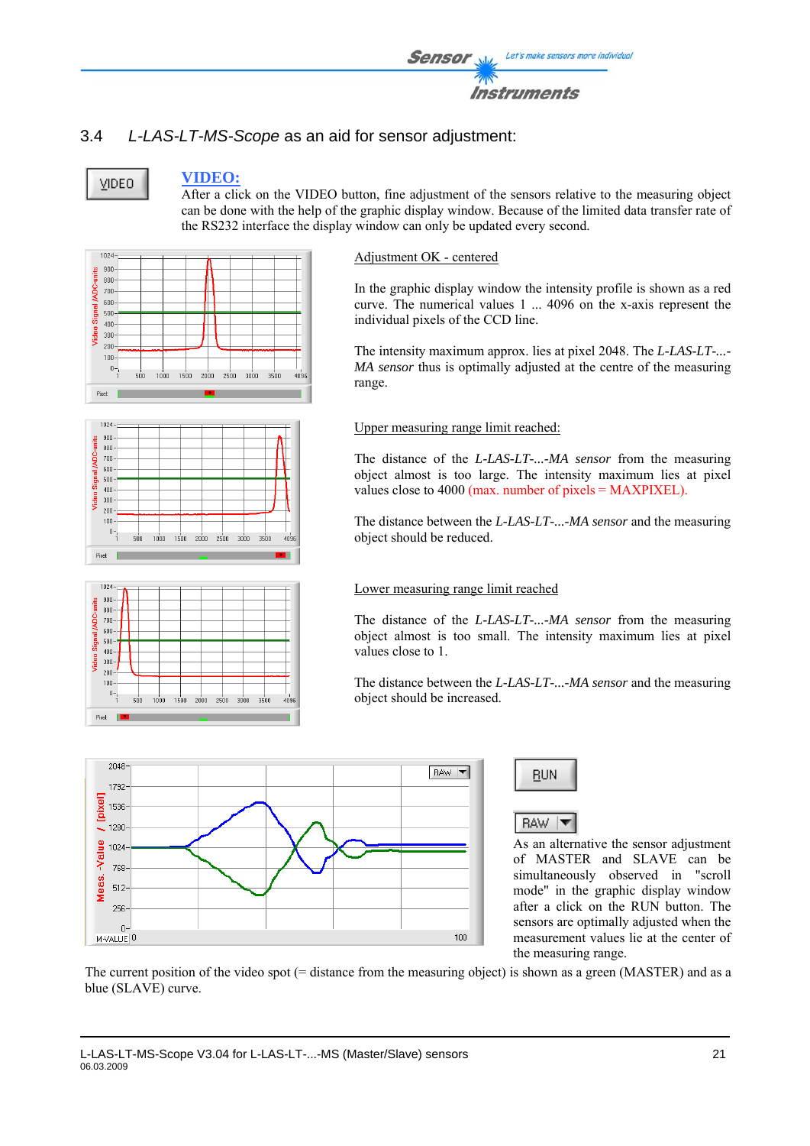

### 3.4 *L-LAS-LT-MS-Scope* as an aid for sensor adjustment:

**VIDEO** 

### **VIDEO:**

After a click on the VIDEO button, fine adjustment of the sensors relative to the measuring object can be done with the help of the graphic display window. Because of the limited data transfer rate of the RS232 interface the display window can only be updated every second.

 $1024 900 -$ ADC-units  $800<sup>°</sup>$  $700$  $600 500$  $400 -$ Video  $300<sup>°</sup>$  $200 -$ 100  $0 -$ 1000 1500 2000 2500 3000 3500  $500$  $4096$ Pixel:





Adjustment OK - centered

In the graphic display window the intensity profile is shown as a red curve. The numerical values 1 ... 4096 on the x-axis represent the individual pixels of the CCD line.

The intensity maximum approx. lies at pixel 2048. The *L-LAS-LT-...- MA sensor* thus is optimally adjusted at the centre of the measuring range.

Upper measuring range limit reached:

The distance of the *L-LAS-LT-...-MA sensor* from the measuring object almost is too large. The intensity maximum lies at pixel values close to 4000 (max. number of pixels = MAXPIXEL).

The distance between the *L-LAS-LT-...-MA sensor* and the measuring object should be reduced.

#### Lower measuring range limit reached

The distance of the *L-LAS-LT-...-MA sensor* from the measuring object almost is too small. The intensity maximum lies at pixel values close to 1.

The distance between the *L-LAS-LT-...-MA sensor* and the measuring object should be increased.





**RAW** ▼

As an alternative the sensor adjustment of MASTER and SLAVE can be simultaneously observed in "scroll mode" in the graphic display window after a click on the RUN button. The sensors are optimally adjusted when the measurement values lie at the center of the measuring range.

The current position of the video spot (= distance from the measuring object) is shown as a green (MASTER) and as a blue (SLAVE) curve.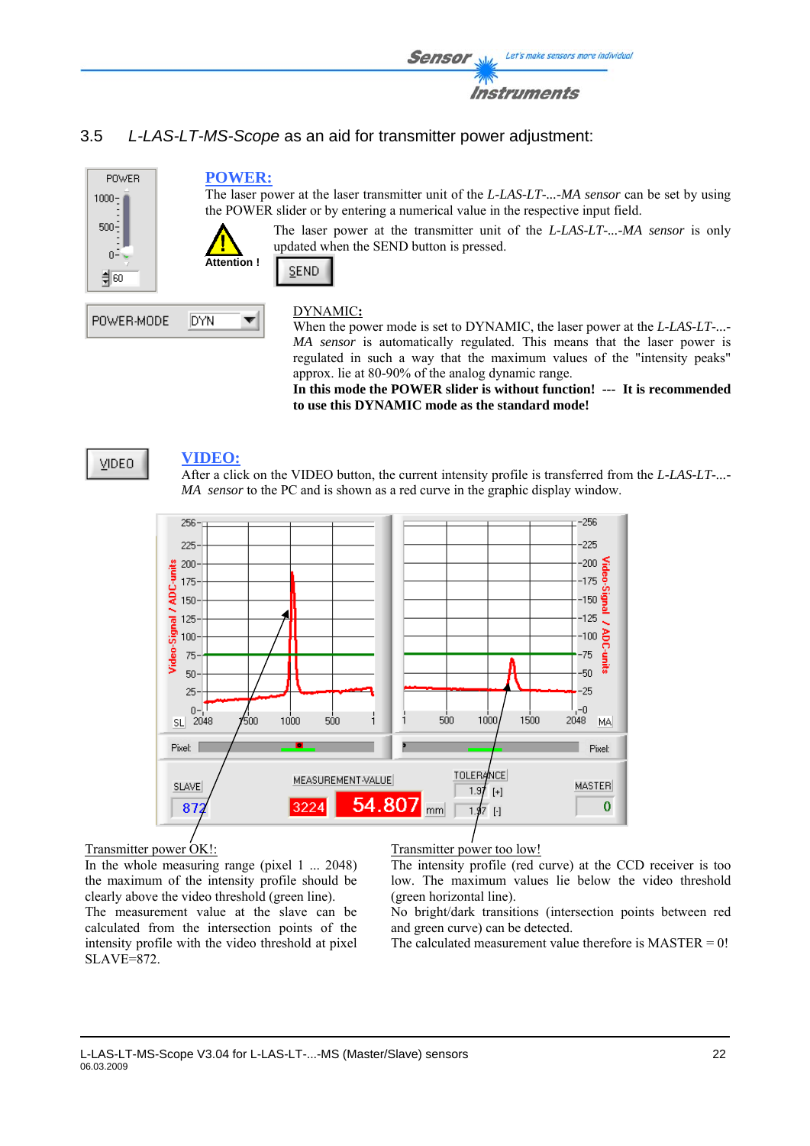

### 3.5 *L-LAS-LT-MS-Scope* as an aid for transmitter power adjustment:



When the power mode is set to DYNAMIC, the laser power at the *L-LAS-LT-...- MA sensor* is automatically regulated. This means that the laser power is regulated in such a way that the maximum values of the "intensity peaks" approx. lie at 80-90% of the analog dynamic range.

**In this mode the POWER slider is without function! --- It is recommended to use this DYNAMIC mode as the standard mode!**



#### **VIDEO:**

After a click on the VIDEO button, the current intensity profile is transferred from the *L-LAS-LT-...- MA sensor* to the PC and is shown as a red curve in the graphic display window.



### Transmitter power OK!:

In the whole measuring range (pixel 1 ... 2048) the maximum of the intensity profile should be clearly above the video threshold (green line).

The measurement value at the slave can be calculated from the intersection points of the intensity profile with the video threshold at pixel SLAVE=872.

#### Transmitter power too low!

The intensity profile (red curve) at the CCD receiver is too low. The maximum values lie below the video threshold (green horizontal line).

No bright/dark transitions (intersection points between red and green curve) can be detected.

The calculated measurement value therefore is  $MASTER = 0!$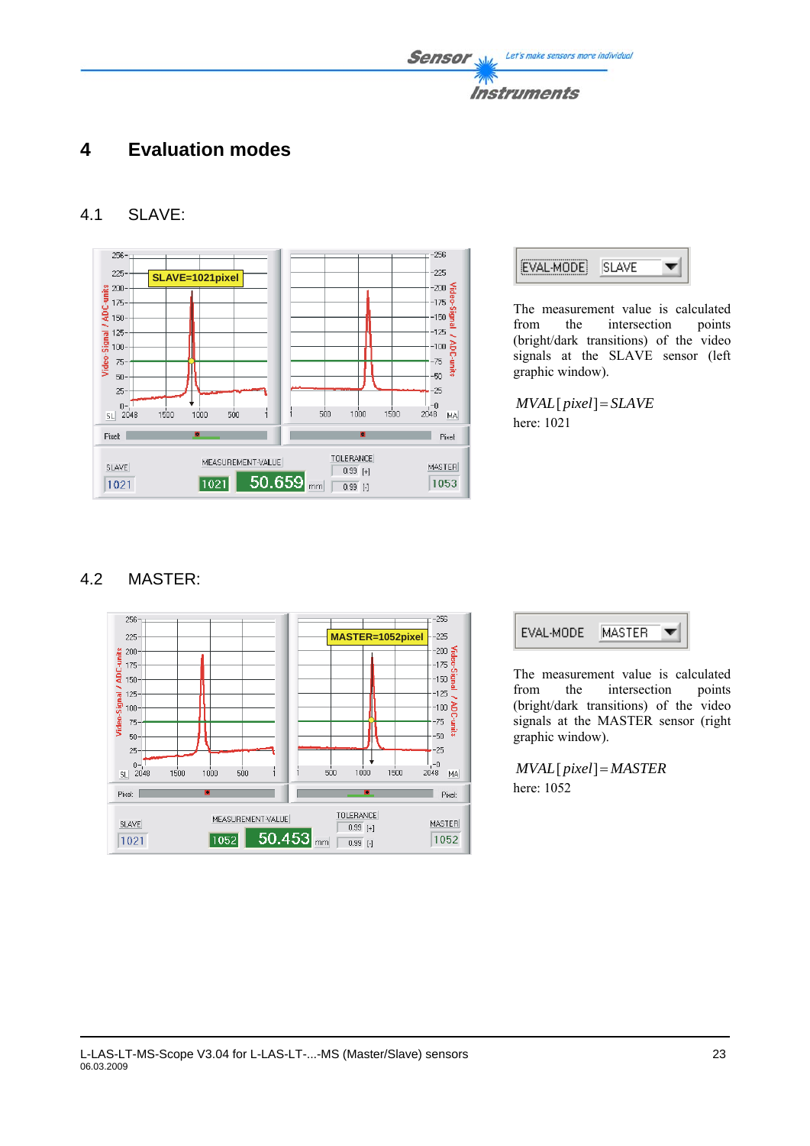## **4 Evaluation modes**

### 4.1 SLAVE:





The measurement value is calculated from the intersection points (bright/dark transitions) of the video signals at the SLAVE sensor (left graphic window).

*MVAL*[ *pixel*]= *SLAVE* here: 1021

### 4.2 MASTER:





The measurement value is calculated from the intersection points (bright/dark transitions) of the video signals at the MASTER sensor (right graphic window).

*MVAL*[ *pixel*]= *MASTER* here: 1052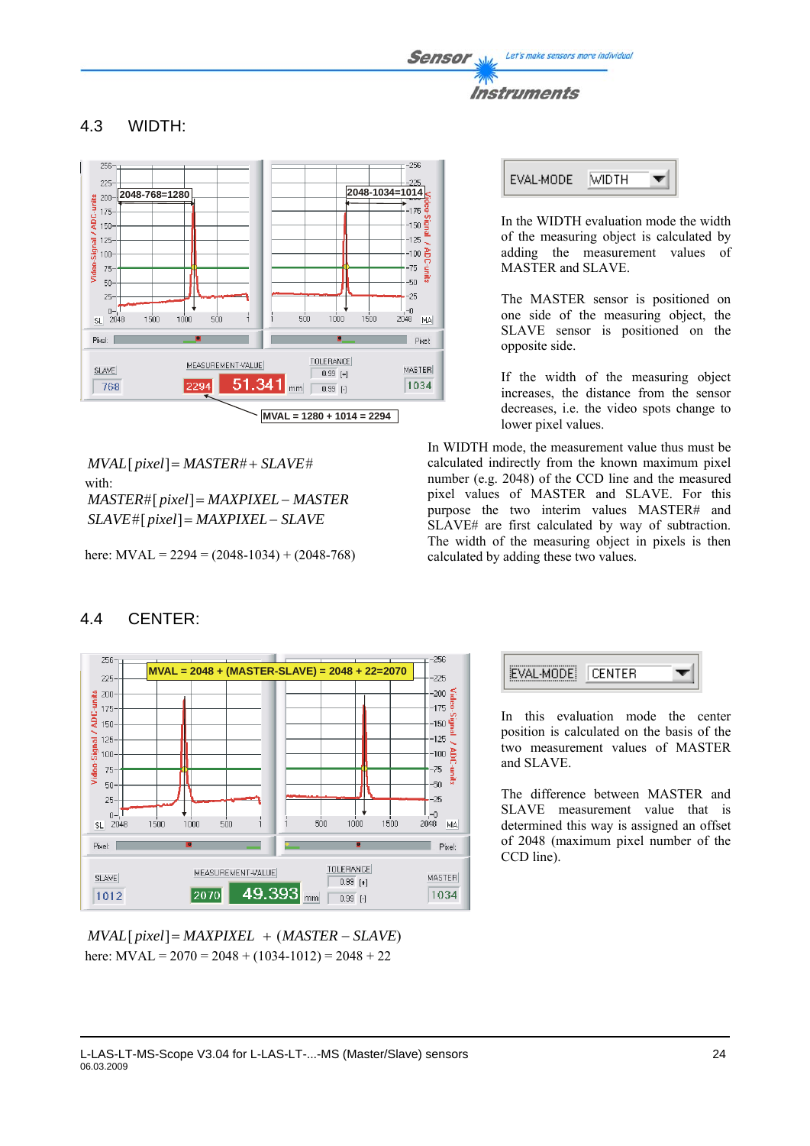Let's make sensors more individual Sensor





4.3 WIDTH:

*MVAL*[ *pixel*]= *MASTER*# + *SLAVE*# with: *MASTER*#[ *pixel*]= *MAXPIXEL*− *MASTER SLAVE*#[ *pixel*]= *MAXPIXEL*− *SLAVE*

here:  $MVAL = 2294 = (2048-1034) + (2048-768)$ 



### 4.4 CENTER:

*MVAL*[ *pixel*]= *MAXPIXEL* + (*MASTER* − *SLAVE*) here:  $MVAL = 2070 = 2048 + (1034-1012) = 2048 + 22$ 



In the WIDTH evaluation mode the width of the measuring object is calculated by adding the measurement values of MASTER and SLAVE.

The MASTER sensor is positioned on one side of the measuring object, the SLAVE sensor is positioned on the opposite side.

If the width of the measuring object increases, the distance from the sensor decreases, i.e. the video spots change to lower pixel values.

In WIDTH mode, the measurement value thus must be calculated indirectly from the known maximum pixel number (e.g. 2048) of the CCD line and the measured pixel values of MASTER and SLAVE. For this purpose the two interim values MASTER# and SLAVE# are first calculated by way of subtraction. The width of the measuring object in pixels is then calculated by adding these two values.



In this evaluation mode the center position is calculated on the basis of the two measurement values of MASTER and SLAVE.

The difference between MASTER and SLAVE measurement value that is determined this way is assigned an offset of 2048 (maximum pixel number of the CCD line).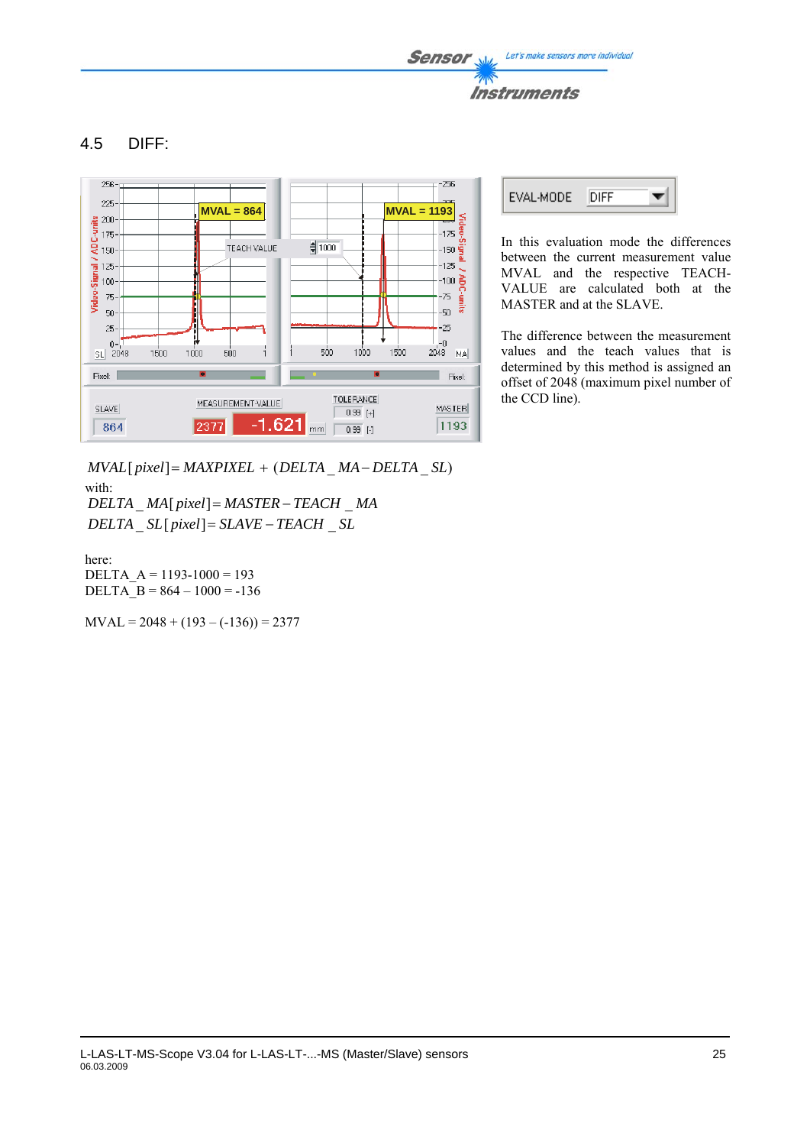### 4.5 DIFF:



*MVAL*[ *pixel*]= *MAXPIXEL* + (*DELTA* \_ *MA*− *DELTA* \_ *SL*) with: *DELTA* \_ *MA*[ *pixel*]= *MASTER* − *TEACH* \_ *MA*

*DELTA* \_ *SL*[ *pixel*]= *SLAVE* − *TEACH* \_ *SL*

here: DELTA  $A = 1193-1000 = 193$ DELTA  $B = 864 - 1000 = -136$ 

 $MVAL = 2048 + (193 - (-136)) = 2377$ 



In this evaluation mode the differences between the current measurement value MVAL and the respective TEACH-VALUE are calculated both at the MASTER and at the SLAVE.

The difference between the measurement values and the teach values that is determined by this method is assigned an offset of 2048 (maximum pixel number of the CCD line).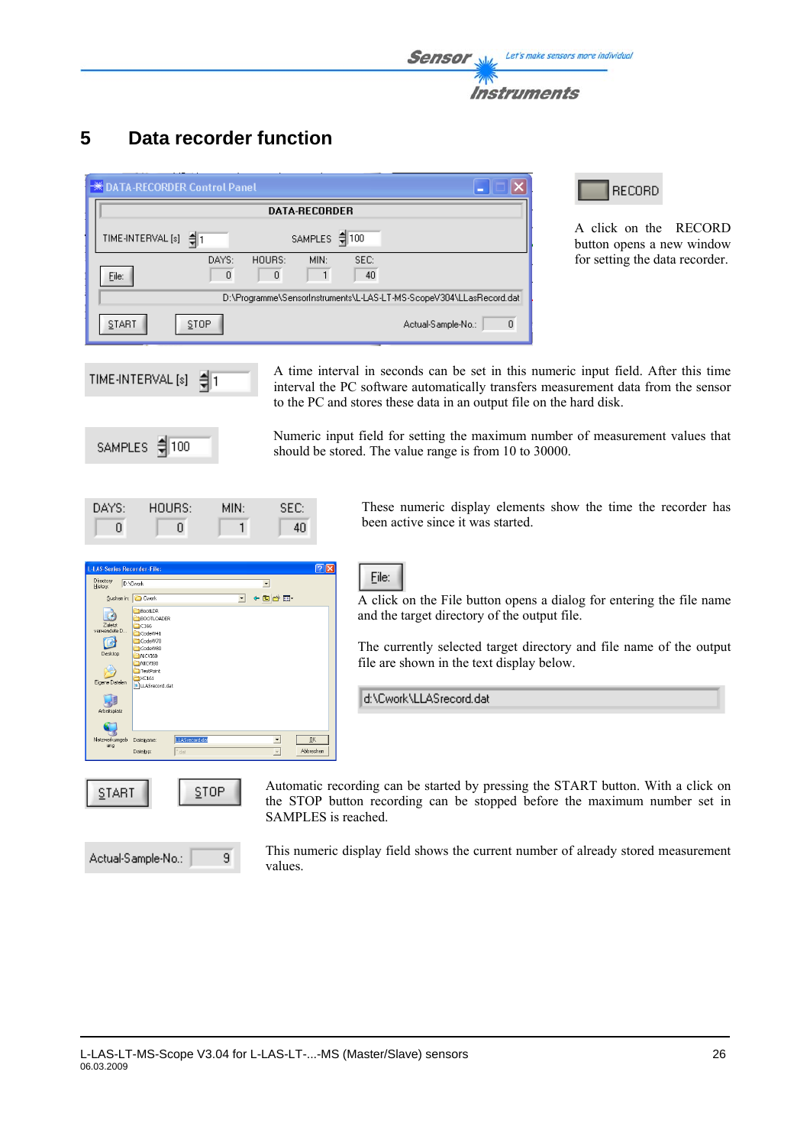

## **5 Data recorder function**

| € DATA-RECORDER Control Panel                                       |
|---------------------------------------------------------------------|
| <b>DATA-RECORDER</b>                                                |
| SAMPLES \$100<br>TIME-INTERVAL [s] (                                |
| DAYS:<br>SEC:<br>HOURS:<br>MIN:<br>40<br>0<br>$\Omega$<br>File:     |
| D:\Programme\SensorInstruments\L-LAS-LT-MS-ScopeV304\LLasRecord.dat |
| $\theta$<br>STOP<br>START<br>Actual-Sample-No.:                     |

**RECORD** 

A click on the RECORD button opens a new window for setting the data recorder.

TIME-INTERVAL [s] ╡1

A time interval in seconds can be set in this numeric input field. After this time interval the PC software automatically transfers measurement data from the sensor to the PC and stores these data in an output file on the hard disk.



Numeric input field for setting the maximum number of measurement values that should be stored. The value range is from 10 to 30000.

| DAYS: | HOLRS: | MIN: | SEC: |
|-------|--------|------|------|
|       |        |      | 40.  |

These numeric display elements show the time the recorder has been active since it was started.



A click on the File button opens a dialog for entering the file name and the target directory of the output file.

The currently selected target directory and file name of the output file are shown in the text display below.

d:\Cwork\LLASrecord.dat

File:

Automatic recording can be started by pressing the START button. With a click on the STOP button recording can be stopped before the maximum number set in SAMPLES is reached.



This numeric display field shows the current number of already stored measurement values.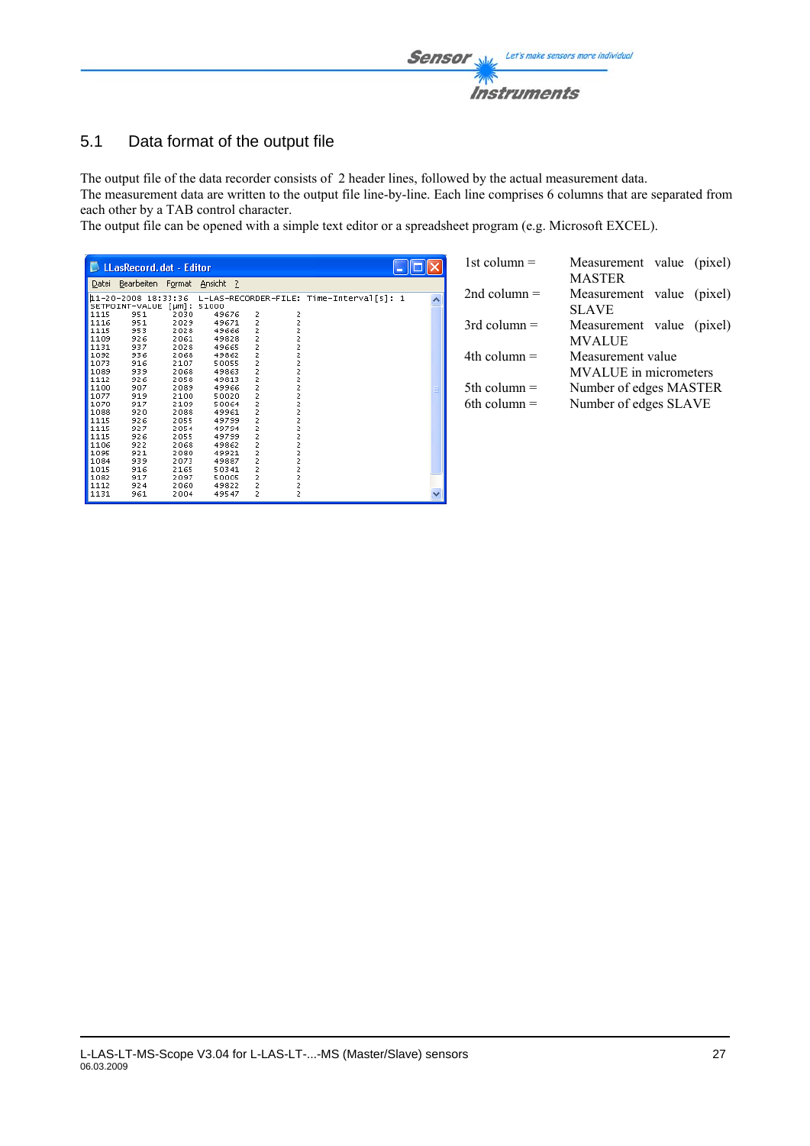

### 5.1 Data format of the output file

The output file of the data recorder consists of 2 header lines, followed by the actual measurement data.

The measurement data are written to the output file line-by-line. Each line comprises 6 columns that are separated from each other by a TAB control character.

The output file can be opened with a simple text editor or a spreadsheet program (e.g. Microsoft EXCEL).

|       | <b>LA</b> LLasRecord.dat - Editor |              |                |                   |             |                                          |  |
|-------|-----------------------------------|--------------|----------------|-------------------|-------------|------------------------------------------|--|
| Datei | Bearbeiten                        | Format       | Ansicht<br>- ? |                   |             |                                          |  |
|       | 11-20-2008                        | 18:33:36     |                |                   |             | L-LAS-RECORDER-FILE: Time-Interval[s]: 1 |  |
|       | SETPOINT-VALUE                    | $f \mu m$ ]: | 51000          |                   |             |                                          |  |
| 1115  | 951                               | 2030         | 49676          | 2                 |             |                                          |  |
| 1116  | 951                               | 2029         | 49671          |                   | 2<br>2<br>2 |                                          |  |
| 1115  | 953                               | 2028         | 49666          |                   |             |                                          |  |
| 1109  | 926                               | 2061         | 49828          |                   | 2<br>2      |                                          |  |
| 1131  | 937                               | 2028         | 49665          |                   |             |                                          |  |
| 1092  | 936                               | 2068         | 49862          |                   | 2           |                                          |  |
| 1073  | 916                               | 2107         | 50055          |                   | 2           |                                          |  |
| 1089  | 939                               | 2068         | 49863          |                   | 2           |                                          |  |
| 1112  | 926                               | 2058         | 49813          |                   | 2           |                                          |  |
| 1100  | 907                               | 2089         | 49966          |                   | 2           |                                          |  |
| 1077  | 919                               | 2100         | 50020          |                   | 2           |                                          |  |
| 1070  | 917                               | 2109         | 50064          |                   |             |                                          |  |
| 1088  | 920                               | 2088         | 49961          |                   |             |                                          |  |
| 1115  | 926                               | 2055         | 49799          |                   | 2222        |                                          |  |
| 1115  | 927                               | 2054         | 49794          |                   |             |                                          |  |
| 1115  | 926                               | 2055         | 49799          |                   |             |                                          |  |
| 1106  | 922                               | 2068         | 49862          |                   | 2<br>2      |                                          |  |
| 1095  | 921                               | 2080         | 49921          |                   |             |                                          |  |
| 1084  | 939                               | 2073         | 49887          |                   | 2<br>2      |                                          |  |
| 1015  | 916                               | 2165         | 50341          | 22222222222222222 |             |                                          |  |
| 1082  | 917                               | 2097         | 50005          |                   | 2<br>2      |                                          |  |
| 1112  | 924                               | 2060         | 49822          | 2                 |             |                                          |  |
| 1131  | 961                               | 2004         | 49547          | ż                 | ż           |                                          |  |

| 1st column $=$                   | Measurement value (pixel)<br><b>MASTER</b>      |  |
|----------------------------------|-------------------------------------------------|--|
| 2nd column $=$                   | Measurement value (pixel)<br><b>SLAVE</b>       |  |
| $3rd$ column =                   | Measurement value (pixel)<br><b>MVALUE</b>      |  |
| $4th$ column $=$                 | Measurement value<br>MVALUE in micrometers      |  |
| 5th column $=$<br>6th column $=$ | Number of edges MASTER<br>Number of edges SLAVE |  |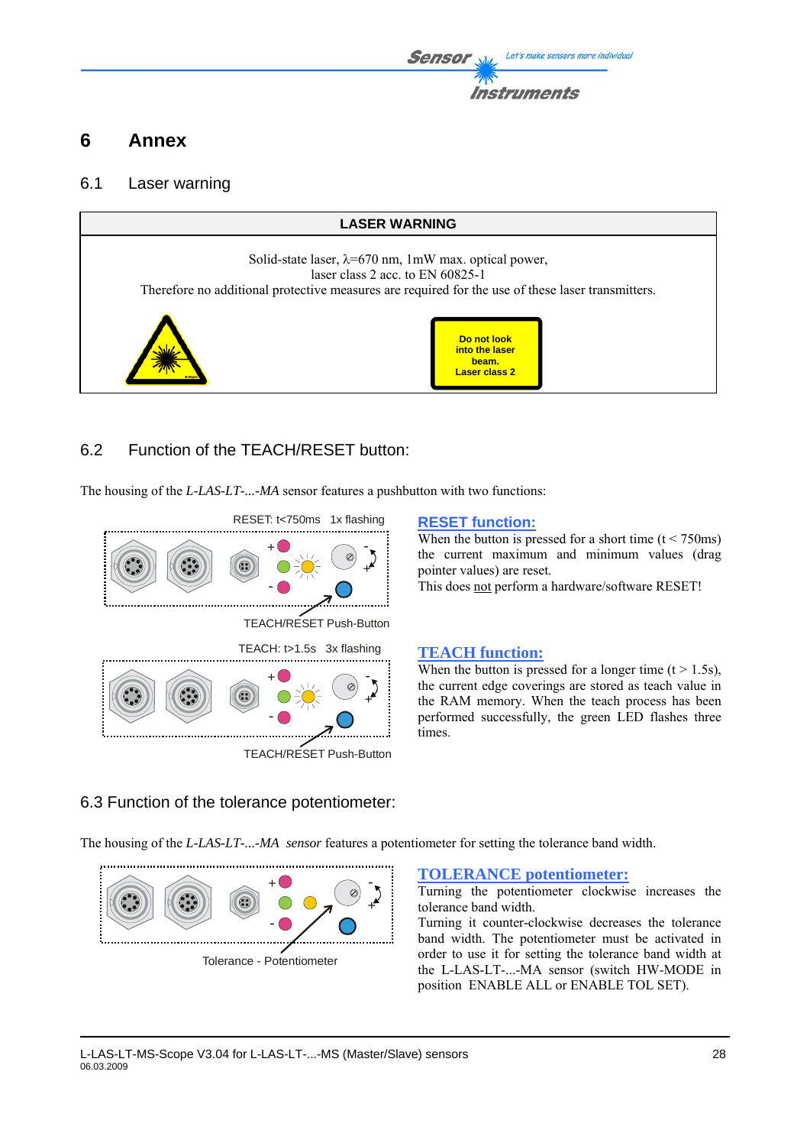## **6 Annex**

### 6.1 Laser warning



### 6.2 Function of the TEACH/RESET button:

The housing of the *L-LAS-LT-...-MA* sensor features a pushbutton with two functions:



TEACH/RESET Push-Button

When the button is pressed for a short time  $(t < 750 \text{ms})$ the current maximum and minimum values (drag pointer values) are reset.

This does not perform a hardware/software RESET!

When the button is pressed for a longer time  $(t > 1.5s)$ , the current edge coverings are stored as teach value in the RAM memory. When the teach process has been performed successfully, the green LED flashes three times.

### 6.3 Function of the tolerance potentiometer:

The housing of the *L-LAS-LT-...-MA sensor* features a potentiometer for setting the tolerance band width.



Tolerance - Potentiometer

#### **TOLERANCE potentiometer:**

Turning the potentiometer clockwise increases the tolerance band width.

Turning it counter-clockwise decreases the tolerance band width. The potentiometer must be activated in order to use it for setting the tolerance band width at the L-LAS-LT-...-MA sensor (switch HW-MODE in position ENABLE ALL or ENABLE TOL SET).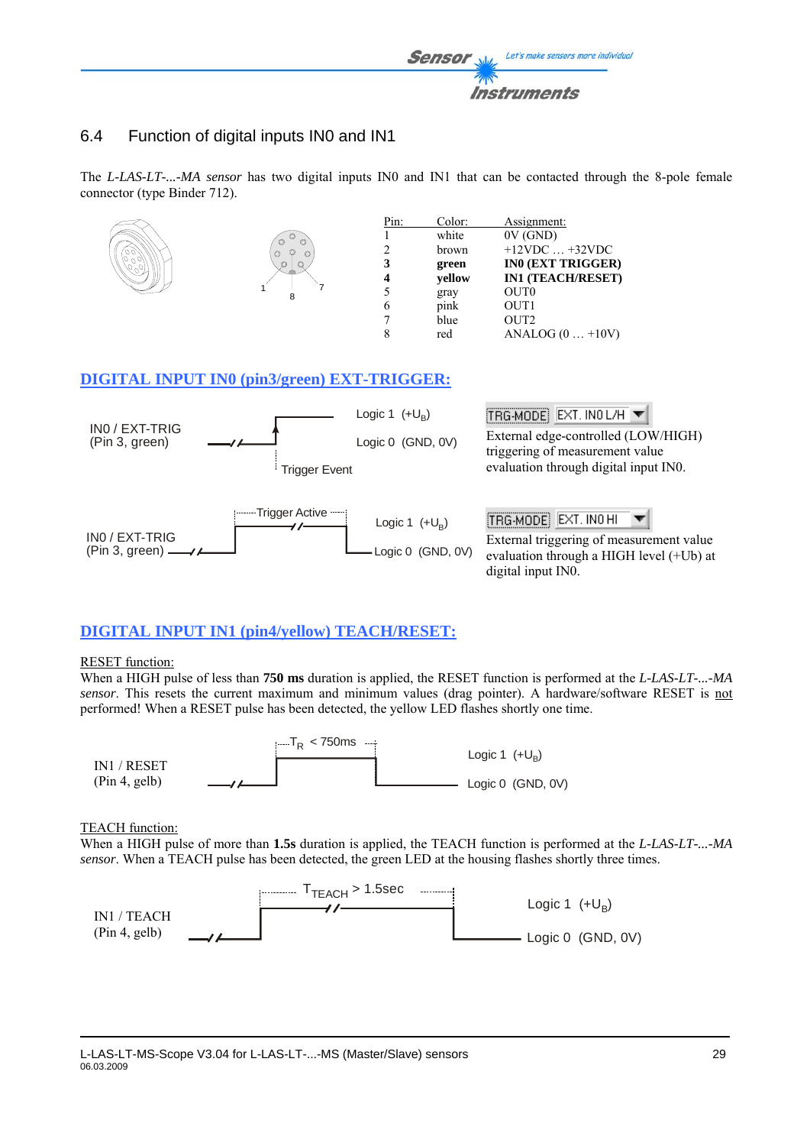

### 6.4 Function of digital inputs IN0 and IN1

The *L-LAS-LT-...-MA sensor* has two digital inputs IN0 and IN1 that can be contacted through the 8-pole female connector (type Binder 712).



### **DIGITAL INPUT IN1 (pin4/yellow) TEACH/RESET:**

#### RESET function:

When a HIGH pulse of less than **750 ms** duration is applied, the RESET function is performed at the *L-LAS-LT-...-MA sensor*. This resets the current maximum and minimum values (drag pointer). A hardware/software RESET is not performed! When a RESET pulse has been detected, the yellow LED flashes shortly one time.



#### TEACH function:

When a HIGH pulse of more than **1.5s** duration is applied, the TEACH function is performed at the *L-LAS-LT-...-MA sensor*. When a TEACH pulse has been detected, the green LED at the housing flashes shortly three times.

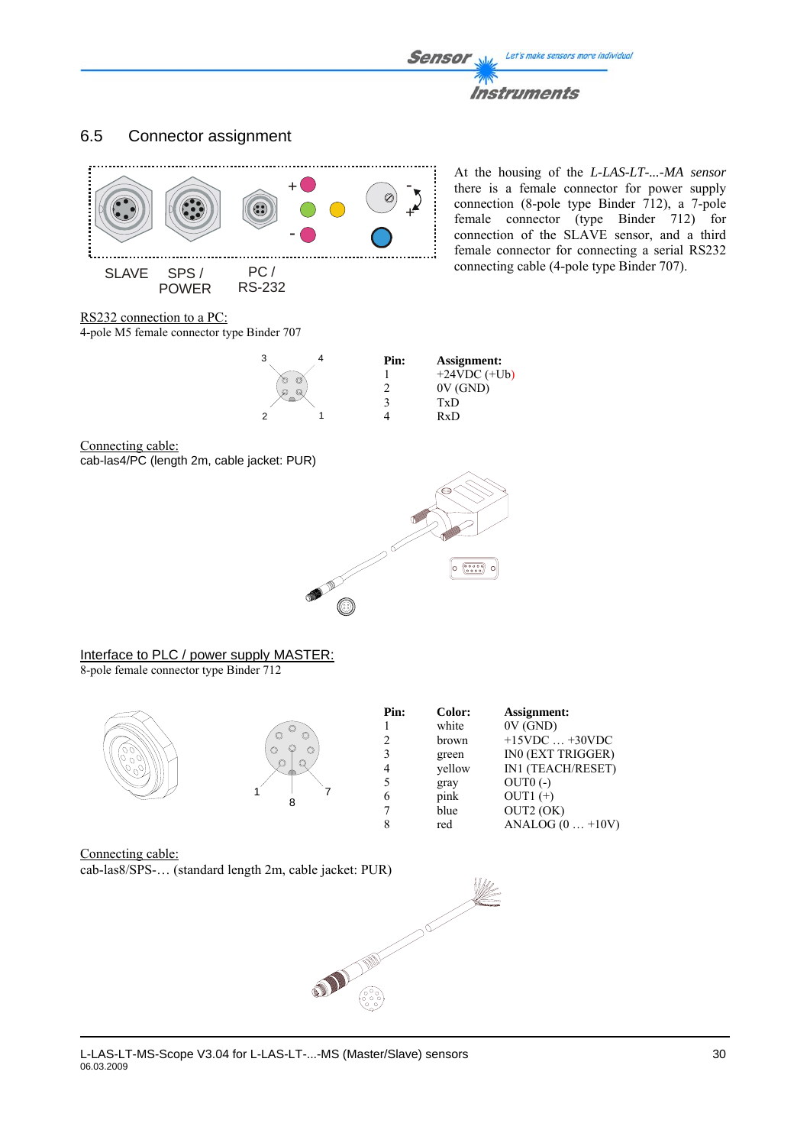### 6.5 Connector assignment



cab-las8/SPS-… (standard length 2m, cable jacket: PUR)

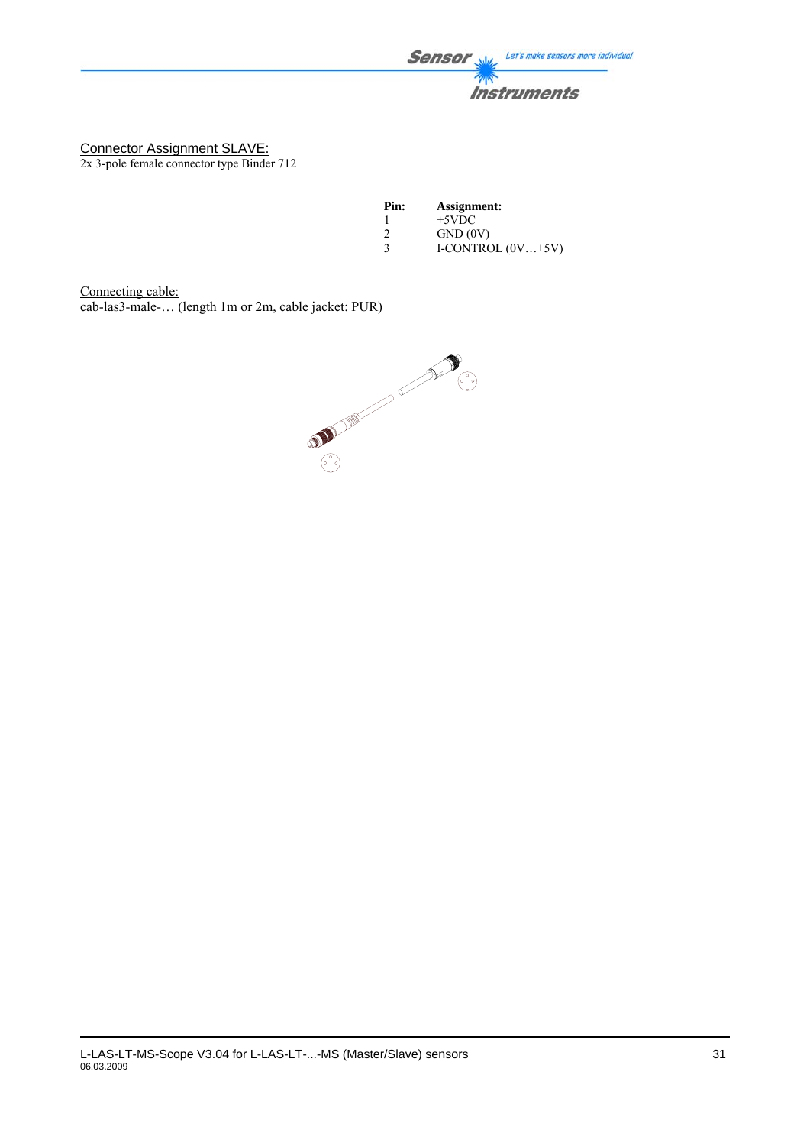**Sensor** Let's make sensors more individual **Instruments** 

Connector Assignment SLAVE: 2x 3-pole female connector type Binder 712

| Pin:          | Assignment:         |
|---------------|---------------------|
|               | $+5VDC$             |
| $\mathcal{L}$ | GND(0V)             |
| 3             | I-CONTROL $(0V+5V)$ |

Connecting cable:

cab-las3-male-… (length 1m or 2m, cable jacket: PUR)

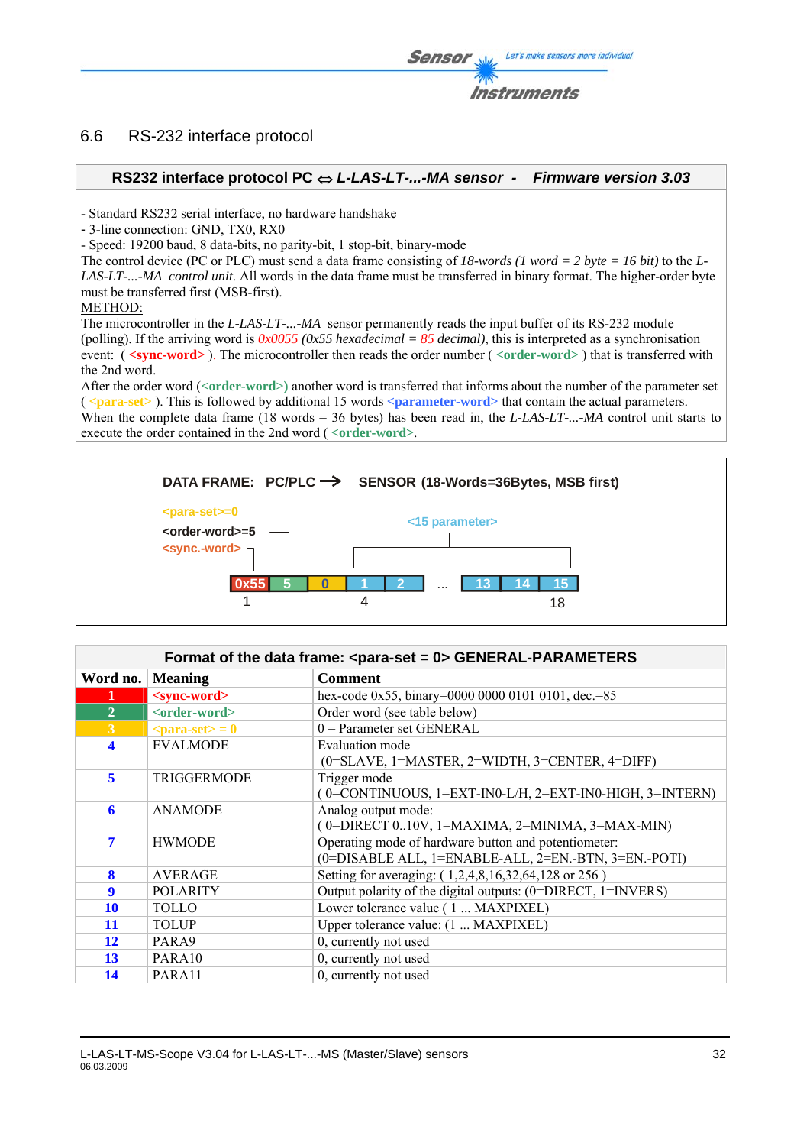### 6.6 RS-232 interface protocol

### **RS232 interface protocol PC** ⇔ *L-LAS-LT-...-MA sensor - Firmware version 3.03*

- Standard RS232 serial interface, no hardware handshake

- 3-line connection: GND, TX0, RX0

- Speed: 19200 baud, 8 data-bits, no parity-bit, 1 stop-bit, binary-mode

The control device (PC or PLC) must send a data frame consisting of *18-words (1 word = 2 byte = 16 bit)* to the *L-LAS-LT-...-MA control unit*. All words in the data frame must be transferred in binary format. The higher-order byte must be transferred first (MSB-first).

#### METHOD:

The microcontroller in the *L-LAS-LT-...-MA* sensor permanently reads the input buffer of its RS-232 module (polling). If the arriving word is  $0x0055$  (0x55 hexadecimal = 85 decimal), this is interpreted as a synchronisation event: ( **<sync-word>** ). The microcontroller then reads the order number ( *<***order-word>** ) that is transferred with the 2nd word.

After the order word (*<***order-word>)** another word is transferred that informs about the number of the parameter set ( *<***para-set>** ). This is followed by additional 15 words **<parameter-word>** that contain the actual parameters. When the complete data frame (18 words = 36 bytes) has been read in, the *L-LAS-LT-...-MA* control unit starts to execute the order contained in the 2nd word ( *<***order-word>**.



### Format of the data frame: <para-set = 0> GENERAL-PARAMETERS

| Word no.       | <b>Meaning</b>            | <b>Comment</b>                                               |
|----------------|---------------------------|--------------------------------------------------------------|
| 1              | <sync-word></sync-word>   | hex-code 0x55, binary=0000 0000 0101 0101, dec.=85           |
| $\overline{2}$ | <order-word></order-word> | Order word (see table below)                                 |
| 3              | $<$ para-set $>$ = 0      | $0 =$ Parameter set GENERAL                                  |
| 4              | <b>EVALMODE</b>           | Evaluation mode                                              |
|                |                           | $(0=SLAVE, 1=MASKTER, 2=WIDTH, 3=CENTER, 4=DIFF)$            |
| 5              | <b>TRIGGERMODE</b>        | Trigger mode                                                 |
|                |                           | $(0=CONTINUOUS, 1=EXT-IN0-L/H, 2=EXT-IN0-HIGH, 3=INTERN)$    |
| 6              | <b>ANAMODE</b>            | Analog output mode:                                          |
|                |                           | $($ 0=DIRECT 010V, 1=MAXIMA, 2=MINIMA, 3=MAX-MIN)            |
| 7              | <b>HWMODE</b>             | Operating mode of hardware button and potentiometer:         |
|                |                           | (0=DISABLE ALL, 1=ENABLE-ALL, 2=EN.-BTN, 3=EN.-POTI)         |
| 8              | <b>AVERAGE</b>            | Setting for averaging: (1,2,4,8,16,32,64,128 or 256)         |
| 9              | <b>POLARITY</b>           | Output polarity of the digital outputs: (0=DIRECT, 1=INVERS) |
| <b>10</b>      | <b>TOLLO</b>              | Lower tolerance value (1  MAXPIXEL)                          |
| 11             | <b>TOLUP</b>              | Upper tolerance value: (1  MAXPIXEL)                         |
| 12             | PARA9                     | 0, currently not used                                        |
| 13             | PARA <sub>10</sub>        | 0, currently not used                                        |
| 14             | PARA11                    | 0, currently not used                                        |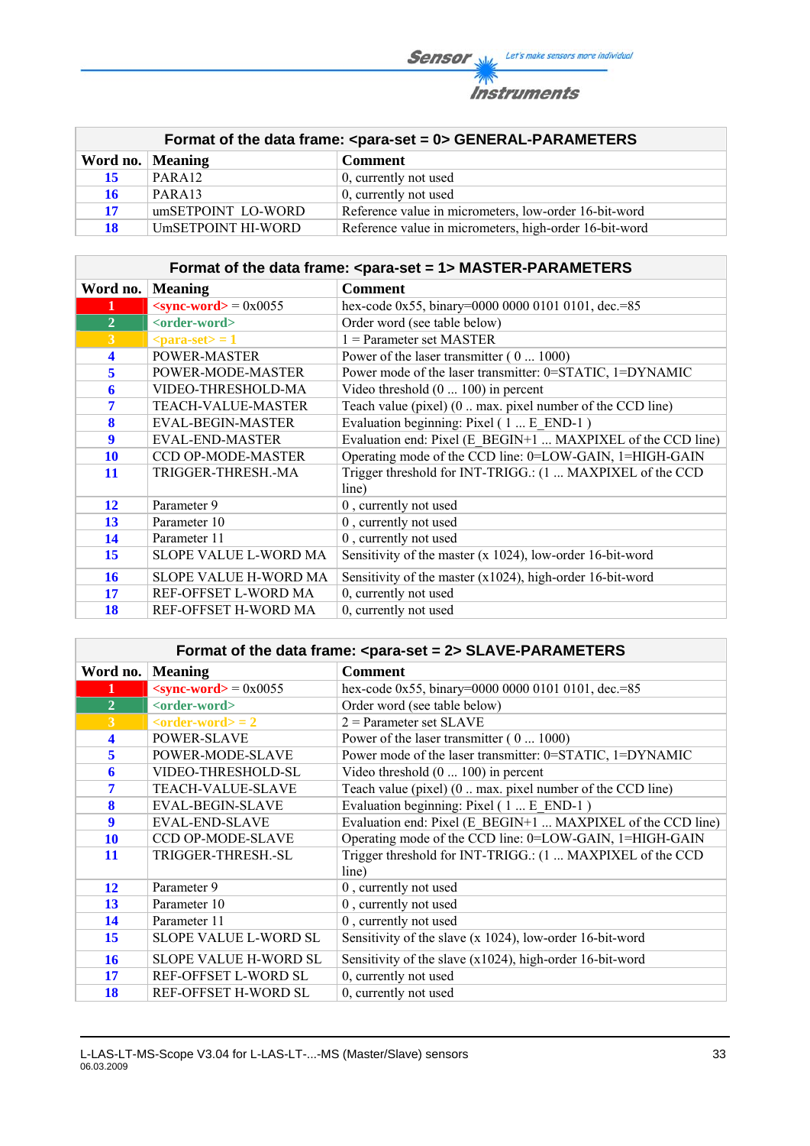**Sensor** When Let's make sensors more individual **Instruments** 

|                    |                    | Format of the data frame: <para-set 0="" ==""> GENERAL-PARAMETERS</para-set> |
|--------------------|--------------------|------------------------------------------------------------------------------|
| Word no.   Meaning |                    | <b>Comment</b>                                                               |
| 15                 | PARA <sub>12</sub> | 0, currently not used                                                        |
| 16                 | PARA13             | 0, currently not used                                                        |
| 17                 | umSETPOINT LO-WORD | Reference value in micrometers, low-order 16-bit-word                        |
| 18                 | UmSETPOINT HI-WORD | Reference value in micrometers, high-order 16-bit-word                       |

|                |                                        | Format of the data frame: <para-set 1="" ==""> MASTER-PARAMETERS</para-set> |
|----------------|----------------------------------------|-----------------------------------------------------------------------------|
| Word no.       | <b>Meaning</b>                         | <b>Comment</b>                                                              |
| 1              | $\langle$ sync-word $\rangle$ = 0x0055 | hex-code 0x55, binary=0000 0000 0101 0101, dec.=85                          |
| $\overline{2}$ | <order-word></order-word>              | Order word (see table below)                                                |
| $\overline{3}$ | $\epsilon$ = 1                         | $1$ = Parameter set MASTER                                                  |
| 4              | POWER-MASTER                           | Power of the laser transmitter (0  1000)                                    |
| 5              | POWER-MODE-MASTER                      | Power mode of the laser transmitter: 0=STATIC, 1=DYNAMIC                    |
| 6              | VIDEO-THRESHOLD-MA                     | Video threshold $(0 \dots 100)$ in percent                                  |
| 7              | <b>TEACH-VALUE-MASTER</b>              | Teach value (pixel) (0  max. pixel number of the CCD line)                  |
| 8              | <b>EVAL-BEGIN-MASTER</b>               | Evaluation beginning: Pixel (1 E END-1)                                     |
| 9              | <b>EVAL-END-MASTER</b>                 | Evaluation end: Pixel (E BEGIN+1  MAXPIXEL of the CCD line)                 |
| <b>10</b>      | CCD OP-MODE-MASTER                     | Operating mode of the CCD line: 0=LOW-GAIN, 1=HIGH-GAIN                     |
| 11             | TRIGGER-THRESH.-MA                     | Trigger threshold for INT-TRIGG.: (1  MAXPIXEL of the CCD<br>line)          |
| 12             | Parameter 9                            | 0, currently not used                                                       |
| 13             | Parameter 10                           | 0, currently not used                                                       |
| 14             | Parameter 11                           | 0, currently not used                                                       |
| 15             | <b>SLOPE VALUE L-WORD MA</b>           | Sensitivity of the master (x 1024), low-order 16-bit-word                   |
| 16             | SLOPE VALUE H-WORD MA                  | Sensitivity of the master $(x1024)$ , high-order 16-bit-word                |
| 17             | REF-OFFSET L-WORD MA                   | 0, currently not used                                                       |
| 18             | REF-OFFSET H-WORD MA                   | 0, currently not used                                                       |

### Format of the data frame: <para-set = 2> SLAVE-PARAMETERS

| Word no.       | <b>Meaning</b>                | <b>Comment</b>                                              |
|----------------|-------------------------------|-------------------------------------------------------------|
| 1              | $\le$ sync-word $>$ = 0x0055  | hex-code 0x55, binary=0000 0000 0101 0101, dec.=85          |
| $\overline{2}$ | <order-word></order-word>     | Order word (see table below)                                |
| 3              | $\alpha$ < order-word $>$ = 2 | $2$ = Parameter set SLAVE                                   |
| 4              | <b>POWER-SLAVE</b>            | Power of the laser transmitter $(0 \dots 1000)$             |
| 5              | POWER-MODE-SLAVE              | Power mode of the laser transmitter: 0=STATIC, 1=DYNAMIC    |
| 6              | VIDEO-THRESHOLD-SL            | Video threshold $(0 \dots 100)$ in percent                  |
| 7              | <b>TEACH-VALUE-SLAVE</b>      | Teach value (pixel) (0  max. pixel number of the CCD line)  |
| 8              | <b>EVAL-BEGIN-SLAVE</b>       | Evaluation beginning: Pixel (1 E END-1)                     |
| 9              | <b>EVAL-END-SLAVE</b>         | Evaluation end: Pixel (E BEGIN+1  MAXPIXEL of the CCD line) |
| <b>10</b>      | CCD OP-MODE-SLAVE             | Operating mode of the CCD line: 0=LOW-GAIN, 1=HIGH-GAIN     |
| 11             | TRIGGER-THRESH.-SL            | Trigger threshold for INT-TRIGG.: (1  MAXPIXEL of the CCD   |
|                |                               | line)                                                       |
| 12             | Parameter 9                   | 0, currently not used                                       |
| 13             | Parameter 10                  | 0, currently not used                                       |
| 14             | Parameter 11                  | 0, currently not used                                       |
| 15             | <b>SLOPE VALUE L-WORD SL</b>  | Sensitivity of the slave (x 1024), low-order 16-bit-word    |
| 16             | <b>SLOPE VALUE H-WORD SL</b>  | Sensitivity of the slave $(x1024)$ , high-order 16-bit-word |
| 17             | REF-OFFSET L-WORD SL          | 0, currently not used                                       |
| 18             | REF-OFFSET H-WORD SL          | 0, currently not used                                       |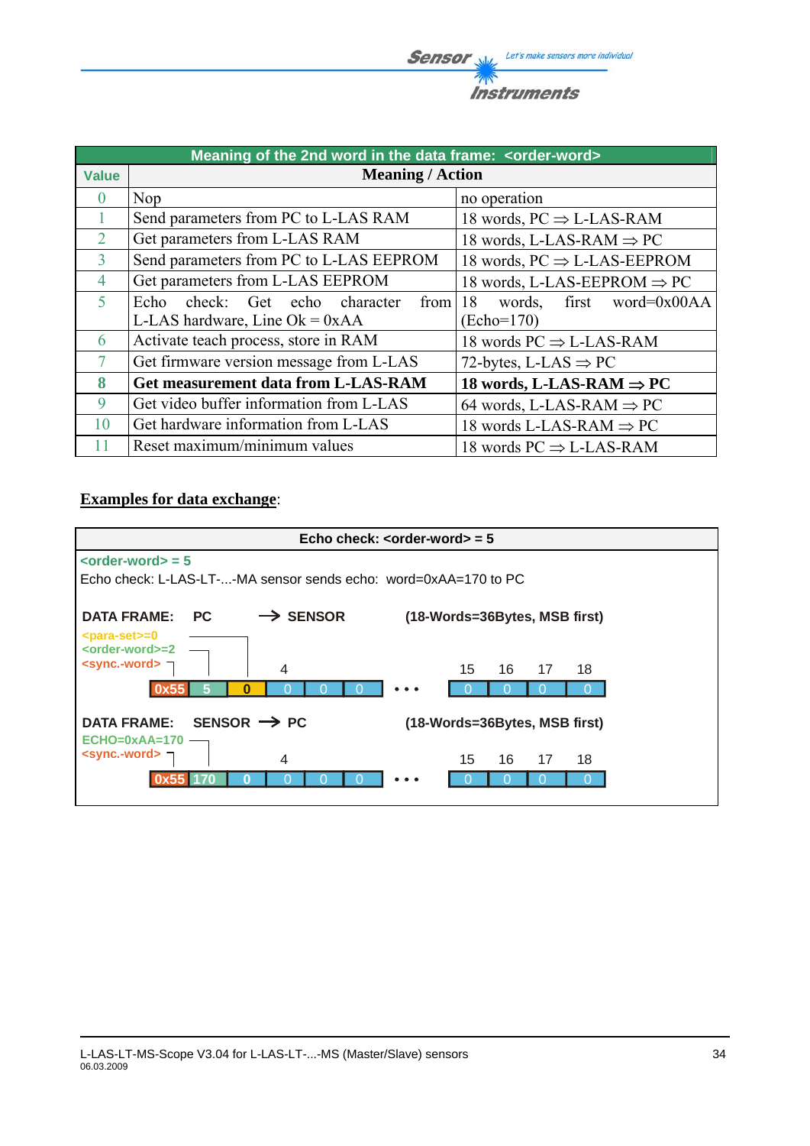**Sensor** Willy Let's make sensors more individual  $\overline{\mathscr{P}}$ **Instruments** 

|                | Meaning of the 2nd word in the data frame: < order-word> |                                         |
|----------------|----------------------------------------------------------|-----------------------------------------|
| <b>Value</b>   | <b>Meaning / Action</b>                                  |                                         |
| $\cup$         | Nop                                                      | no operation                            |
|                | Send parameters from PC to L-LAS RAM                     | 18 words, $PC \Rightarrow$ L-LAS-RAM    |
| $\overline{2}$ | Get parameters from L-LAS RAM                            | 18 words, L-LAS-RAM $\Rightarrow$ PC    |
| 3              | Send parameters from PC to L-LAS EEPROM                  | 18 words, $PC \Rightarrow$ L-LAS-EEPROM |
| 4              | Get parameters from L-LAS EEPROM                         | 18 words, L-LAS-EEPROM $\Rightarrow$ PC |
| 5              | check: Get echo character<br>Echo<br>from                | first word= $0x00AA$<br>18<br>words,    |
|                | L-LAS hardware, Line $Ok = 0xAA$                         | (Echo=170)                              |
| 6              | Activate teach process, store in RAM                     | 18 words $PC \Rightarrow$ L-LAS-RAM     |
| $\tau$         | Get firmware version message from L-LAS                  | 72-bytes, L-LAS $\Rightarrow$ PC        |
| 8              | <b>Get measurement data from L-LAS-RAM</b>               | 18 words, L-LAS-RAM $\Rightarrow$ PC    |
| 9              | Get video buffer information from L-LAS                  | 64 words, L-LAS-RAM $\Rightarrow$ PC    |
| 10             | Get hardware information from L-LAS                      | 18 words L-LAS-RAM $\Rightarrow$ PC     |
| 11             | Reset maximum/minimum values                             | 18 words $PC \Rightarrow$ L-LAS-RAM     |

### **Examples for data exchange**:

|                                                                                                 | Echo check: $\leq$ order-word $>$ = 5 |
|-------------------------------------------------------------------------------------------------|---------------------------------------|
| $\left\langle \text{order-word}\right\rangle =5$                                                |                                       |
| Echo check: L-LAS-LT--MA sensor sends echo: word=0xAA=170 to PC                                 |                                       |
| $\rightarrow$ SENSOR<br><b>DATA FRAME:</b><br><b>PC</b>                                         | (18-Words=36Bytes, MSB first)         |
| <para-set>=0<br/><order-word>=2<br/><sync .-="" word=""> ¬<br/>4</sync></order-word></para-set> | 15<br>16<br>17<br>18                  |
| O<br>0x55                                                                                       |                                       |
| SENSOR $\rightarrow$ PC<br><b>DATA FRAME:</b><br>$ECHO=0xAA=170$                                | (18-Words=36Bytes, MSB first)         |
| <sync.-word> ¬<br/>4</sync.-word>                                                               | 16<br>15<br>17<br>18                  |
|                                                                                                 |                                       |
|                                                                                                 |                                       |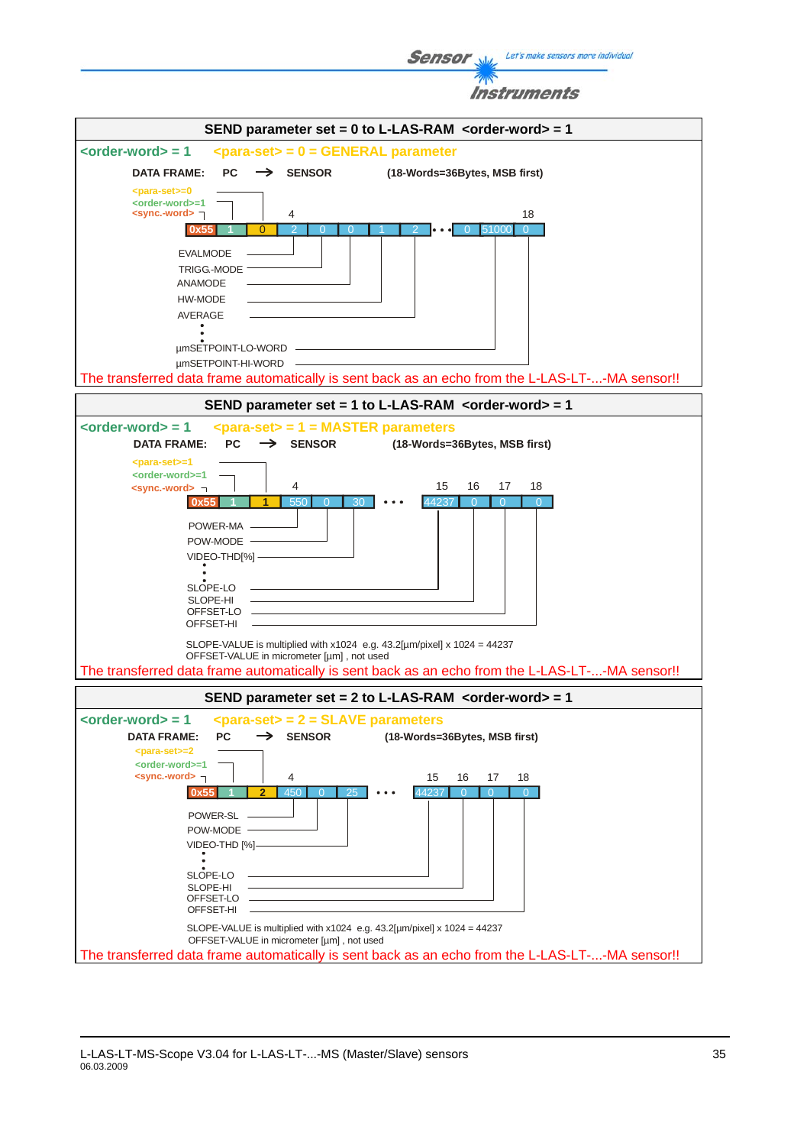Let's make sensors more individual **Sensor** Instruments SEND parameter set = 0 to L-LAS-RAM <order-word> = 1 **<order-word> = 1 <para-set> = 0 = GENERAL parameter** DATA FRAME: PC  $\rightarrow$  SENSOR (18-Words=36Bytes, MSB first) **<order-word>=1 <sync.-word>** 4 18 **0x55**  $\overline{0}$ 2 0 0 1 2 **0 0** 51000 0 0 1 2  $\overline{0}$ EVALMODE TRIGG.-MODE



**<para-set>=0**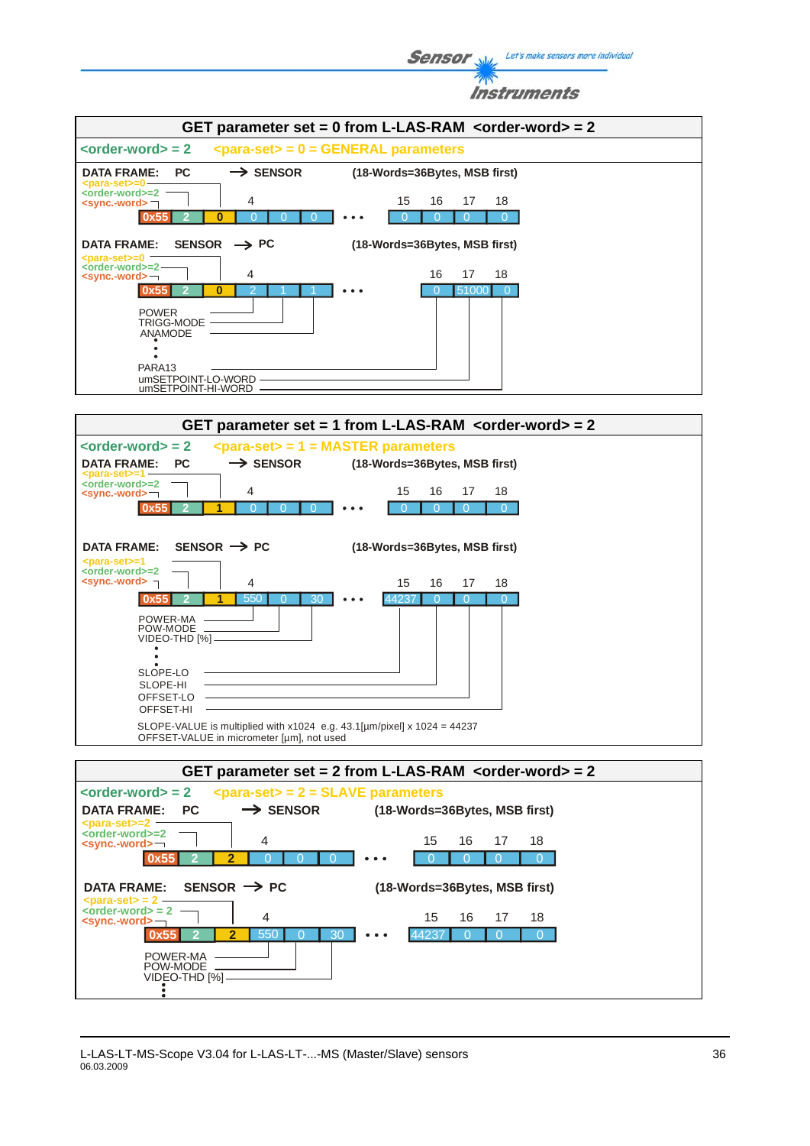**Sensor** Well, Let's make sensors more individual Instruments GET parameter set = 0 from L-LAS-RAM <order-word> = 2 **<order-word> = 2 <para-set> = 0 = GENERAL parameters** DATA FRAME: PC  $\rightarrow$  SENSOR (18-Words=36Bytes, MSB first) **<para-set>=0 <order-word>=2 <sync.-word>** 4 15 16 17 18 15 16 17 **0x55 2 0** 0 0 0 0 0 0 0 0 0 0 00  $\overline{0}$ **DATA FRAME: SENSOR PC (18-Words=36Bytes, MSB first) <order-word>=2 <para-set>=0** 16 17 **<sync.-word>** 4 16 17 18 0x55 2 1 1 0 0 0 51000 0 **0** 2 1 1 ·  $\overline{0}$ POWER TRIGG-MODE ANAMODE PARA13 umSETPOINT-LO-WORD umSETPOINT-HI-WORD **GET parameter set = 1 from L-LAS-RAM <order-word> = 2 <order-word> = 2 <para-set> = 1 = MASTER parameters** DATA FRAME: PC  $\longrightarrow$  SENSOR (18-Words=36Bytes, MSB first) **<para-set>=1**<br>
<order-word>=2<br>
<sync.-word> 4 15 16 17 18 15 16 17 0x55 **1** 0 0 0 0 0 0 0 0 0 0 00  $\overline{0}$ DATA FRAME: SENSOR  $\rightarrow$  PC (18-Words=36Bytes, MSB first) **<para-set>=1<br><order-word>=2<br><b><sync.-word>** 4 15 16 17 18 15 16 17 **0x5 1** 550 0 30 · 550 0 30 0 44237 0 0 0 44237  $\overline{0}$ POWER-MA POW-MODE —<br>VIDEO-THD [%] SLOPE-LO SLOPE-HI OFFSET-LO OFFSET-HI SLOPE-VALUE is multiplied with  $x1024$  e.g. 43.1[µm/pixel] x 1024 = 44237 OFFSET-VALUE in micrometer [µm], not used **GET parameter set = 2 from L-LAS-RAM <order-word> = 2 <order-word> = 2 <para-set> = 2 = SLAVE parameters** DATA FRAME: PC  $\longrightarrow$  SENSOR (18-Words=36Bytes, MSB first) **<order-word>=2 <para-set>=2** 15 16 17 4 15 16 17 18 **<sync.-word> 0x55 2 2** 0 0 0 0 0 0 0 0 0 00  $\overline{0}$ DATA FRAME: SENSOR  $\rightarrow$  PC (18-Words=36Bytes, MSB first) **<para-set> = 2 —<br>
<order-word> = 2<br>
<b><sync.-word>** — 15 16 174 15 16 17 18 **0x55 2 2** 550 0 30 · 550 0 30 0 44237 0 0 0  $A$  $A$  $23$  $\sqrt{2}$ POWER-MA POW-MODE

VIDEO-THD [%]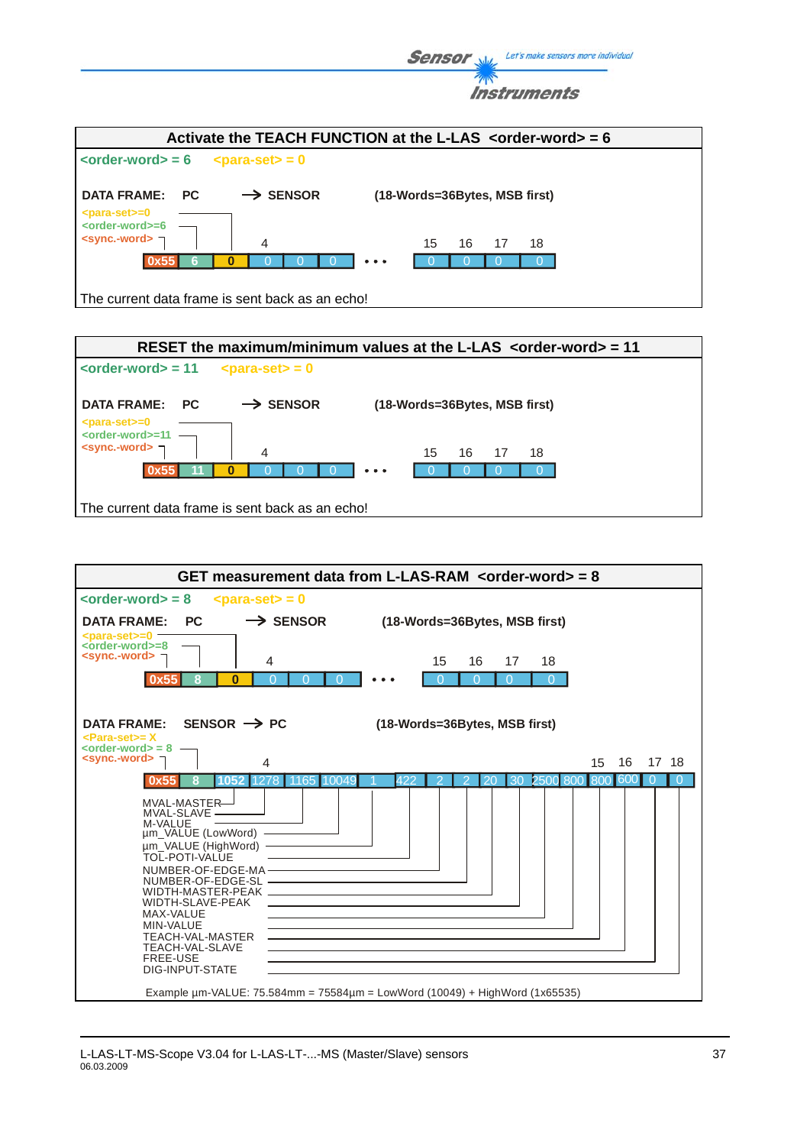| <b>Sensor</b> $\mathcal{N}_{\text{max}}$ Let's make sensors more individual |  |
|-----------------------------------------------------------------------------|--|
| <b>Instruments</b>                                                          |  |

|                                                                                     |                                                                          | Activate the TEACH FUNCTION at the L-LAS $\leq$ -order-word = 6            |
|-------------------------------------------------------------------------------------|--------------------------------------------------------------------------|----------------------------------------------------------------------------|
| $\left\langle \text{order-word} \right\rangle = 6$                                  | $\epsilon$ para-set> = 0                                                 |                                                                            |
| <b>DATA FRAME:</b><br><b>PC</b>                                                     | <b>SENSOR</b><br>$\rightarrow$                                           | (18-Words=36Bytes, MSB first)                                              |
| $<$ para-set $> = 0$<br><order-word>=6<br/><sync.-word> ¬</sync.-word></order-word> | 4                                                                        | 15<br>16<br>- 18<br>17                                                     |
| 0x55                                                                                |                                                                          | $\bullet\hspace{0.1cm} \bullet\hspace{0.1cm}\bullet\hspace{0.1cm} \bullet$ |
|                                                                                     | - The company of the factor for the contribution of the control of the l |                                                                            |

The current data frame is sent back as an echo!



| $\left\langle \text{order-word}\right\rangle =8$<br>$\epsilon$ <para-set> = 0<br/><math>\rightarrow</math> SENSOR<br/>PC.<br/><b>DATA FRAME:</b><br/>(18-Words=36Bytes, MSB first)<br/><math>&lt;</math>para-set<math>&gt; = 0</math><br/><math>\leftarrow</math> ander-word <math>\leftarrow</math> 8<br/><math>\le</math>sync.-word&gt; <math>\neg</math><br/>4<br/>15<br/>16<br/>17<br/>18<br/><math>\bf{0}</math><br/>0x55<br/>8<br/>SENSOR <math>\rightarrow</math> PC<br/><b>DATA FRAME:</b><br/>(18-Words=36Bytes, MSB first)<br/><para-set>= X<br/><math>\left\langle \text{order-words} \right\rangle = 8</math> –<br/><math>\le</math>sync.-word&gt; <math>\le</math><br/>16<br/>17 18<br/>15<br/>4<br/>30<br/>250<br/>422<br/>20<br/>800<br/>60<br/>8<br/>1052<br/>1165<br/>10049<br/>MVAL-MASTER-<br/>MVAL-SLAVE -<br/>M-VALUE<br/>um_VALUE (LowWord) -</para-set></para-set> |
|-------------------------------------------------------------------------------------------------------------------------------------------------------------------------------------------------------------------------------------------------------------------------------------------------------------------------------------------------------------------------------------------------------------------------------------------------------------------------------------------------------------------------------------------------------------------------------------------------------------------------------------------------------------------------------------------------------------------------------------------------------------------------------------------------------------------------------------------------------------------------------------------|
|                                                                                                                                                                                                                                                                                                                                                                                                                                                                                                                                                                                                                                                                                                                                                                                                                                                                                           |
|                                                                                                                                                                                                                                                                                                                                                                                                                                                                                                                                                                                                                                                                                                                                                                                                                                                                                           |
|                                                                                                                                                                                                                                                                                                                                                                                                                                                                                                                                                                                                                                                                                                                                                                                                                                                                                           |
|                                                                                                                                                                                                                                                                                                                                                                                                                                                                                                                                                                                                                                                                                                                                                                                                                                                                                           |
|                                                                                                                                                                                                                                                                                                                                                                                                                                                                                                                                                                                                                                                                                                                                                                                                                                                                                           |
|                                                                                                                                                                                                                                                                                                                                                                                                                                                                                                                                                                                                                                                                                                                                                                                                                                                                                           |
| um VALUE (HighWord) -<br><b>TOL-POTI-VALUE</b><br>NUMBER-OF-EDGE-MA-<br>WIDTH-SLAVE-PEAK<br>MAX-VALUE<br>MIN-VALUE<br><b>TEACH-VAL-MASTER</b><br>TEACH-VAL-SLAVE<br>FREE-USE<br>DIG-INPUT-STATE<br>Example $\mu$ m-VALUE: 75.584mm = 75584 $\mu$ m = LowWord (10049) + HighWord (1x65535)                                                                                                                                                                                                                                                                                                                                                                                                                                                                                                                                                                                                 |